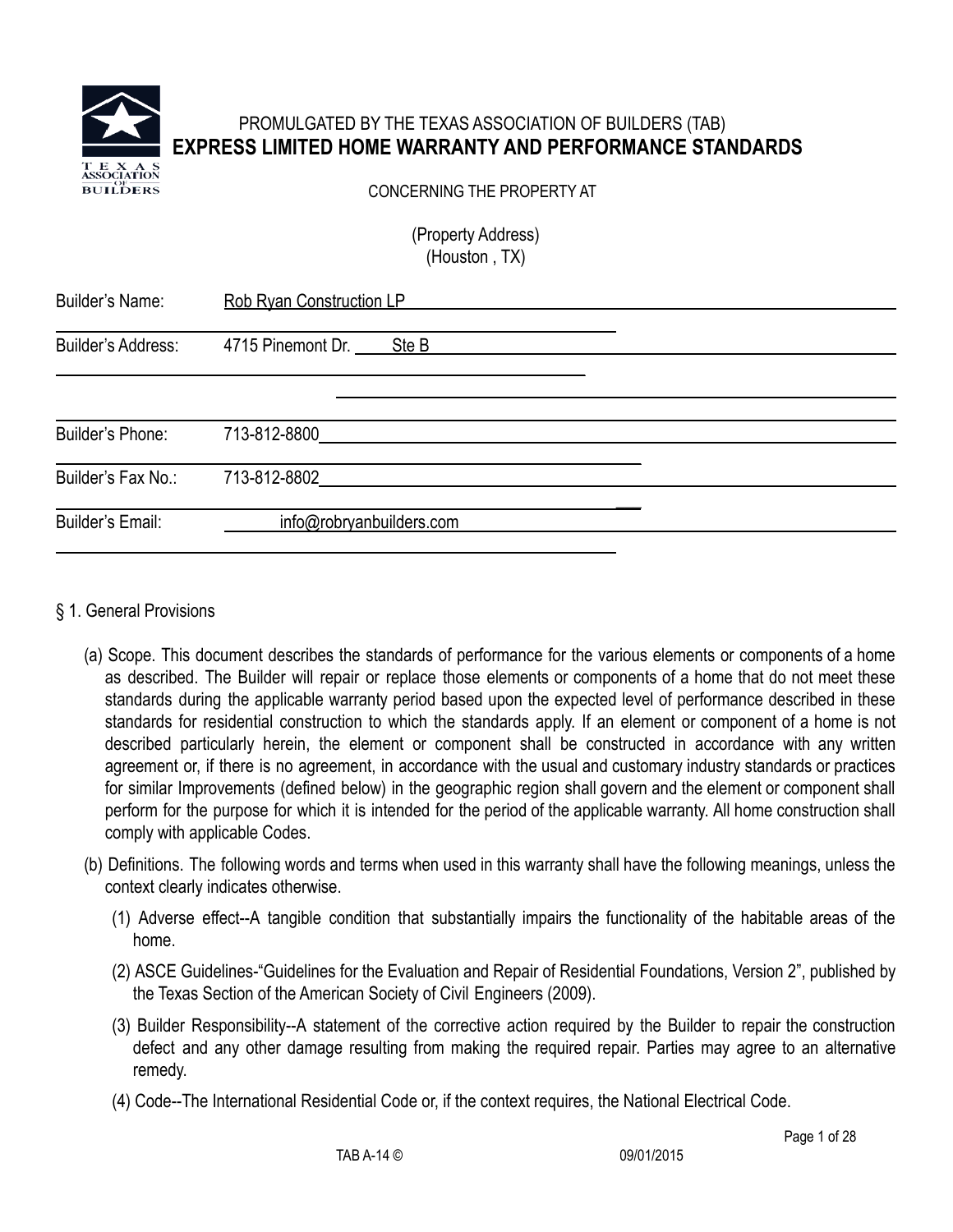

# PROMULGATED BY THE TEXAS ASSOCIATION OF BUILDERS (TAB) **EXPRESS LIMITED HOME WARRANTY AND PERFORMANCE STANDARDS**

CONCERNING THE PROPERTY AT

(Property Address) (Houston , TX)

| <b>Builder's Name:</b>  | <b>Rob Ryan Construction LP</b> |  |
|-------------------------|---------------------------------|--|
| Builder's Address:      |                                 |  |
|                         | 4715 Pinemont Dr. Ste B         |  |
|                         |                                 |  |
| Builder's Phone:        | 713-812-8800                    |  |
| Builder's Fax No.:      | 713-812-8802                    |  |
| <b>Builder's Email:</b> | info@robryanbuilders.com        |  |

## § 1. General Provisions

- (a) Scope. This document describes the standards of performance for the various elements or components of a home as described. The Builder will repair or replace those elements or components of a home that do not meet these standards during the applicable warranty period based upon the expected level of performance described in these standards for residential construction to which the standards apply. If an element or component of a home is not described particularly herein, the element or component shall be constructed in accordance with any written agreement or, if there is no agreement, in accordance with the usual and customary industry standards or practices for similar Improvements (defined below) in the geographic region shall govern and the element or component shall perform for the purpose for which it is intended for the period of the applicable warranty. All home construction shall comply with applicable Codes.
- (b) Definitions. The following words and terms when used in this warranty shall have the following meanings, unless the context clearly indicates otherwise.
	- (1) Adverse effect--A tangible condition that substantially impairs the functionality of the habitable areas of the home.
	- (2) ASCE Guidelines-"Guidelines for the Evaluation and Repair of Residential Foundations, Version 2", published by the Texas Section of the American Society of Civil Engineers (2009).
	- (3) Builder Responsibility--A statement of the corrective action required by the Builder to repair the construction defect and any other damage resulting from making the required repair. Parties may agree to an alternative remedy.
	- (4) Code--The International Residential Code or, if the context requires, the National Electrical Code.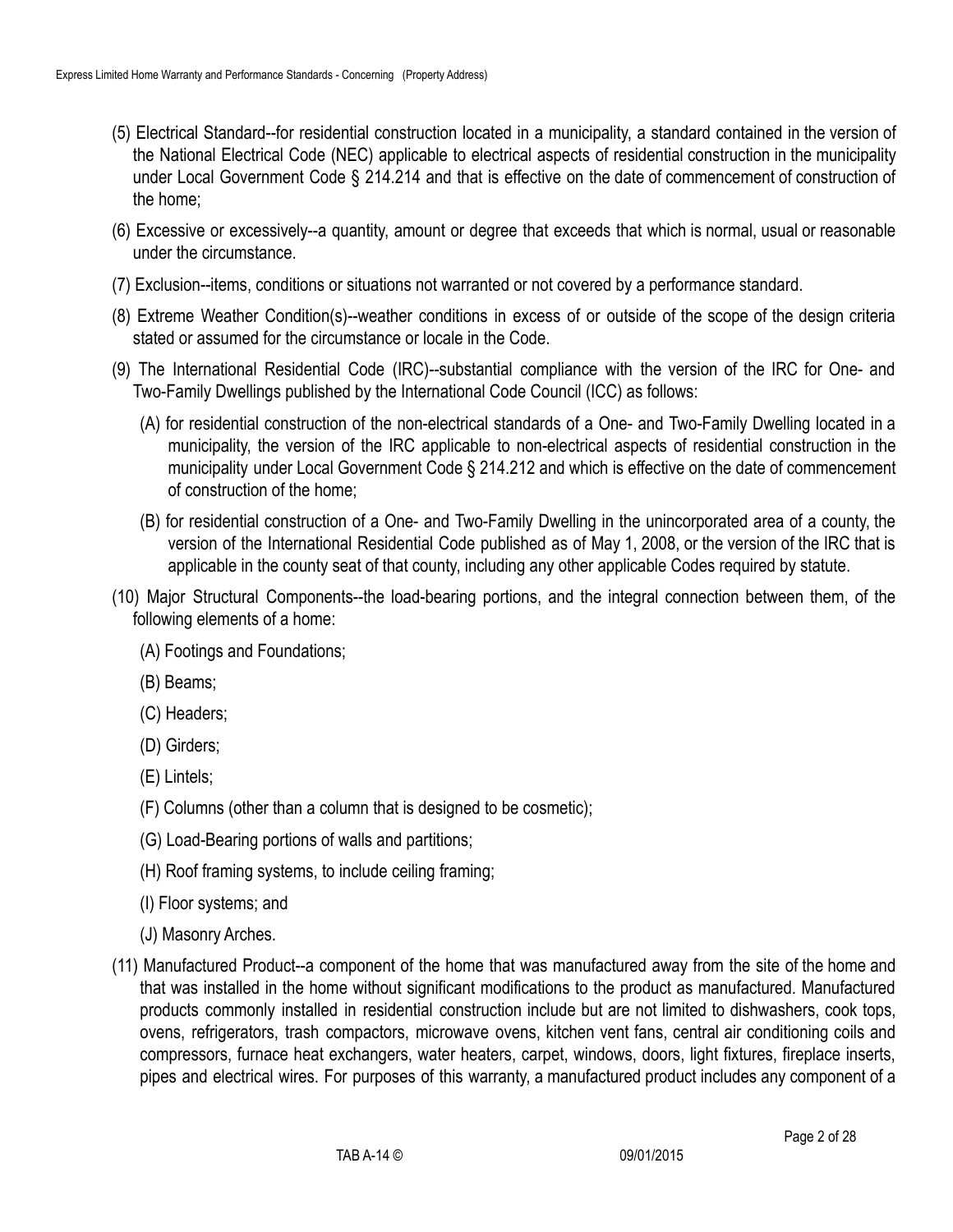- (5) Electrical Standard--for residential construction located in a municipality, a standard contained in the version of the National Electrical Code (NEC) applicable to electrical aspects of residential construction in the municipality under Local Government Code § 214.214 and that is effective on the date of commencement of construction of the home;
- (6) Excessive or excessively--a quantity, amount or degree that exceeds that which is normal, usual or reasonable under the circumstance.
- (7) Exclusion--items, conditions or situations not warranted or not covered by a performance standard.
- (8) Extreme Weather Condition(s)--weather conditions in excess of or outside of the scope of the design criteria stated or assumed for the circumstance or locale in the Code.
- (9) The International Residential Code (IRC)--substantial compliance with the version of the IRC for One- and Two-Family Dwellings published by the International Code Council (ICC) as follows:
	- (A) for residential construction of the non-electrical standards of a One- and Two-Family Dwelling located in a municipality, the version of the IRC applicable to non-electrical aspects of residential construction in the municipality under Local Government Code § 214.212 and which is effective on the date of commencement of construction of the home;
	- (B) for residential construction of a One- and Two-Family Dwelling in the unincorporated area of a county, the version of the International Residential Code published as of May 1, 2008, or the version of the IRC that is applicable in the county seat of that county, including any other applicable Codes required by statute.
- (10) Major Structural Components--the load-bearing portions, and the integral connection between them, of the following elements of a home:
	- (A) Footings and Foundations;
	- (B) Beams;
	- (C) Headers;
	- (D) Girders;
	- (E) Lintels;
	- (F) Columns (other than a column that is designed to be cosmetic);
	- (G) Load-Bearing portions of walls and partitions;
	- (H) Roof framing systems, to include ceiling framing;
	- (I) Floor systems; and
	- (J) Masonry Arches.
- (11) Manufactured Product--a component of the home that was manufactured away from the site of the home and that was installed in the home without significant modifications to the product as manufactured. Manufactured products commonly installed in residential construction include but are not limited to dishwashers, cook tops, ovens, refrigerators, trash compactors, microwave ovens, kitchen vent fans, central air conditioning coils and compressors, furnace heat exchangers, water heaters, carpet, windows, doors, light fixtures, fireplace inserts, pipes and electrical wires. For purposes of this warranty, a manufactured product includes any component of a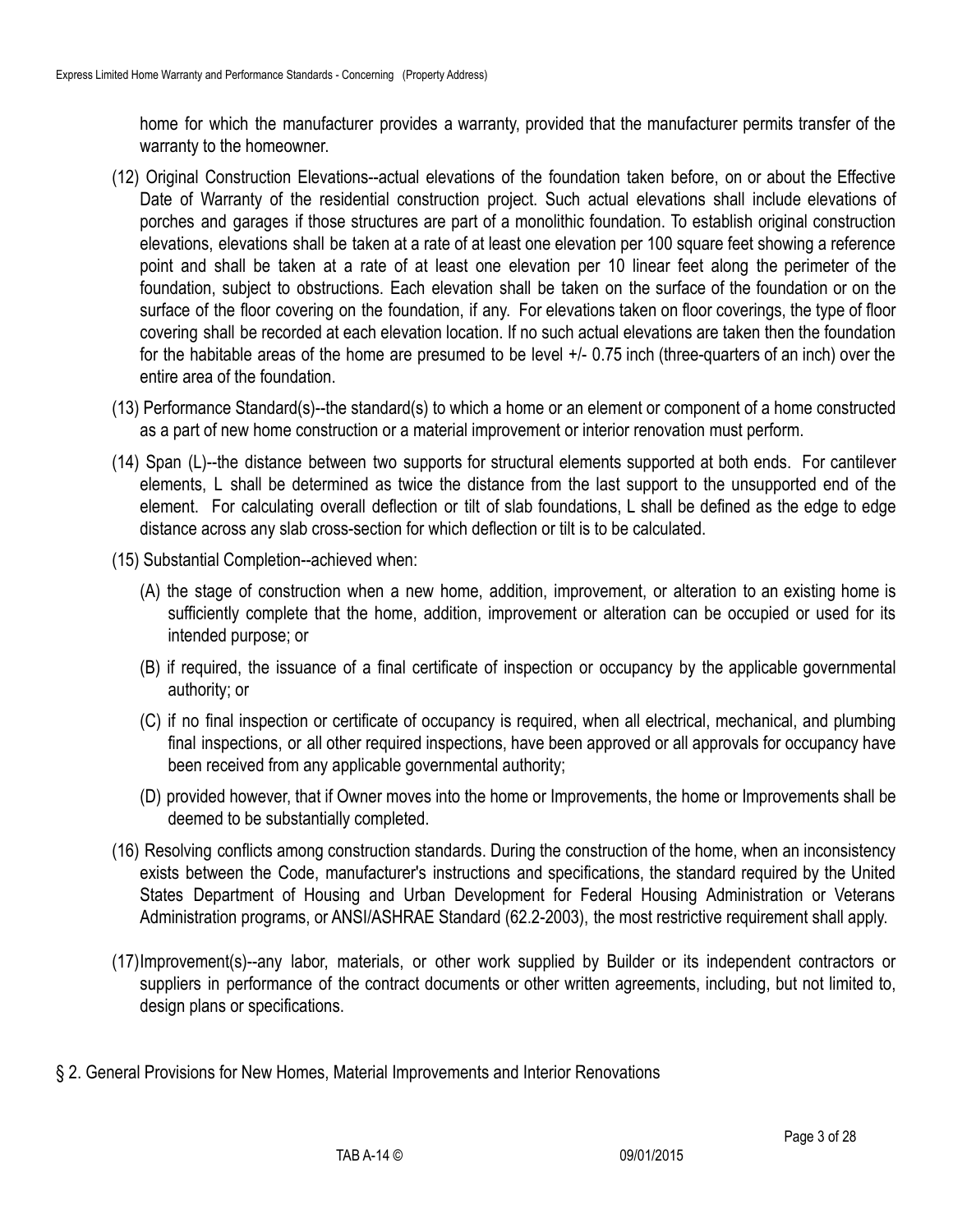home for which the manufacturer provides a warranty, provided that the manufacturer permits transfer of the warranty to the homeowner.

- (12) Original Construction Elevations--actual elevations of the foundation taken before, on or about the Effective Date of Warranty of the residential construction project. Such actual elevations shall include elevations of porches and garages if those structures are part of a monolithic foundation. To establish original construction elevations, elevations shall be taken at a rate of at least one elevation per 100 square feet showing a reference point and shall be taken at a rate of at least one elevation per 10 linear feet along the perimeter of the foundation, subject to obstructions. Each elevation shall be taken on the surface of the foundation or on the surface of the floor covering on the foundation, if any. For elevations taken on floor coverings, the type of floor covering shall be recorded at each elevation location. If no such actual elevations are taken then the foundation for the habitable areas of the home are presumed to be level +/- 0.75 inch (three-quarters of an inch) over the entire area of the foundation.
- (13) Performance Standard(s)--the standard(s) to which a home or an element or component of a home constructed as a part of new home construction or a material improvement or interior renovation must perform.
- (14) Span (L)--the distance between two supports for structural elements supported at both ends. For cantilever elements, L shall be determined as twice the distance from the last support to the unsupported end of the element. For calculating overall deflection or tilt of slab foundations, L shall be defined as the edge to edge distance across any slab cross-section for which deflection or tilt is to be calculated.
- (15) Substantial Completion--achieved when:
	- (A) the stage of construction when a new home, addition, improvement, or alteration to an existing home is sufficiently complete that the home, addition, improvement or alteration can be occupied or used for its intended purpose; or
	- (B) if required, the issuance of a final certificate of inspection or occupancy by the applicable governmental authority; or
	- (C) if no final inspection or certificate of occupancy is required, when all electrical, mechanical, and plumbing final inspections, or all other required inspections, have been approved or all approvals for occupancy have been received from any applicable governmental authority;
	- (D) provided however, that if Owner moves into the home or Improvements, the home or Improvements shall be deemed to be substantially completed.
- (16) Resolving conflicts among construction standards. During the construction of the home, when an inconsistency exists between the Code, manufacturer's instructions and specifications, the standard required by the United States Department of Housing and Urban Development for Federal Housing Administration or Veterans Administration programs, or ANSI/ASHRAE Standard (62.2-2003), the most restrictive requirement shall apply.
- (17)Improvement(s)--any labor, materials, or other work supplied by Builder or its independent contractors or suppliers in performance of the contract documents or other written agreements, including, but not limited to, design plans or specifications.
- § 2. General Provisions for New Homes, Material Improvements and Interior Renovations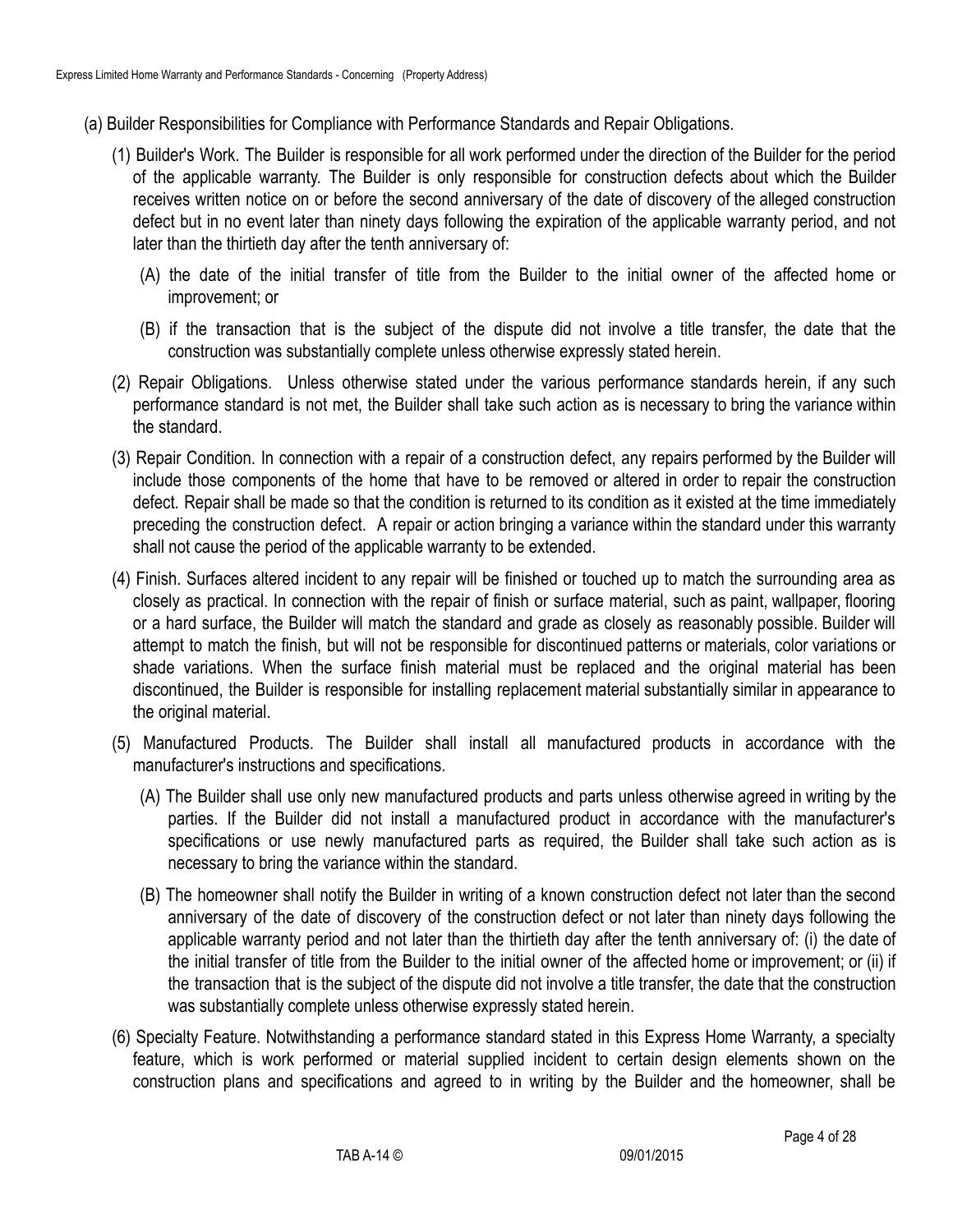- (a) Builder Responsibilities for Compliance with Performance Standards and Repair Obligations.
	- (1) Builder's Work. The Builder is responsible for all work performed under the direction of the Builder for the period of the applicable warranty. The Builder is only responsible for construction defects about which the Builder receives written notice on or before the second anniversary of the date of discovery of the alleged construction defect but in no event later than ninety days following the expiration of the applicable warranty period, and not later than the thirtieth day after the tenth anniversary of:
		- (A) the date of the initial transfer of title from the Builder to the initial owner of the affected home or improvement; or
		- (B) if the transaction that is the subject of the dispute did not involve a title transfer, the date that the construction was substantially complete unless otherwise expressly stated herein.
	- (2) Repair Obligations. Unless otherwise stated under the various performance standards herein, if any such performance standard is not met, the Builder shall take such action as is necessary to bring the variance within the standard.
	- (3) Repair Condition. In connection with a repair of a construction defect, any repairs performed by the Builder will include those components of the home that have to be removed or altered in order to repair the construction defect. Repair shall be made so that the condition is returned to its condition as it existed at the time immediately preceding the construction defect. A repair or action bringing a variance within the standard under this warranty shall not cause the period of the applicable warranty to be extended.
	- (4) Finish. Surfaces altered incident to any repair will be finished or touched up to match the surrounding area as closely as practical. In connection with the repair of finish or surface material, such as paint, wallpaper, flooring or a hard surface, the Builder will match the standard and grade as closely as reasonably possible. Builder will attempt to match the finish, but will not be responsible for discontinued patterns or materials, color variations or shade variations. When the surface finish material must be replaced and the original material has been discontinued, the Builder is responsible for installing replacement material substantially similar in appearance to the original material.
	- (5) Manufactured Products. The Builder shall install all manufactured products in accordance with the manufacturer's instructions and specifications.
		- (A) The Builder shall use only new manufactured products and parts unless otherwise agreed in writing by the parties. If the Builder did not install a manufactured product in accordance with the manufacturer's specifications or use newly manufactured parts as required, the Builder shall take such action as is necessary to bring the variance within the standard.
		- (B) The homeowner shall notify the Builder in writing of a known construction defect not later than the second anniversary of the date of discovery of the construction defect or not later than ninety days following the applicable warranty period and not later than the thirtieth day after the tenth anniversary of: (i) the date of the initial transfer of title from the Builder to the initial owner of the affected home or improvement; or (ii) if the transaction that is the subject of the dispute did not involve a title transfer, the date that the construction was substantially complete unless otherwise expressly stated herein.
	- (6) Specialty Feature. Notwithstanding a performance standard stated in this Express Home Warranty, a specialty feature, which is work performed or material supplied incident to certain design elements shown on the construction plans and specifications and agreed to in writing by the Builder and the homeowner, shall be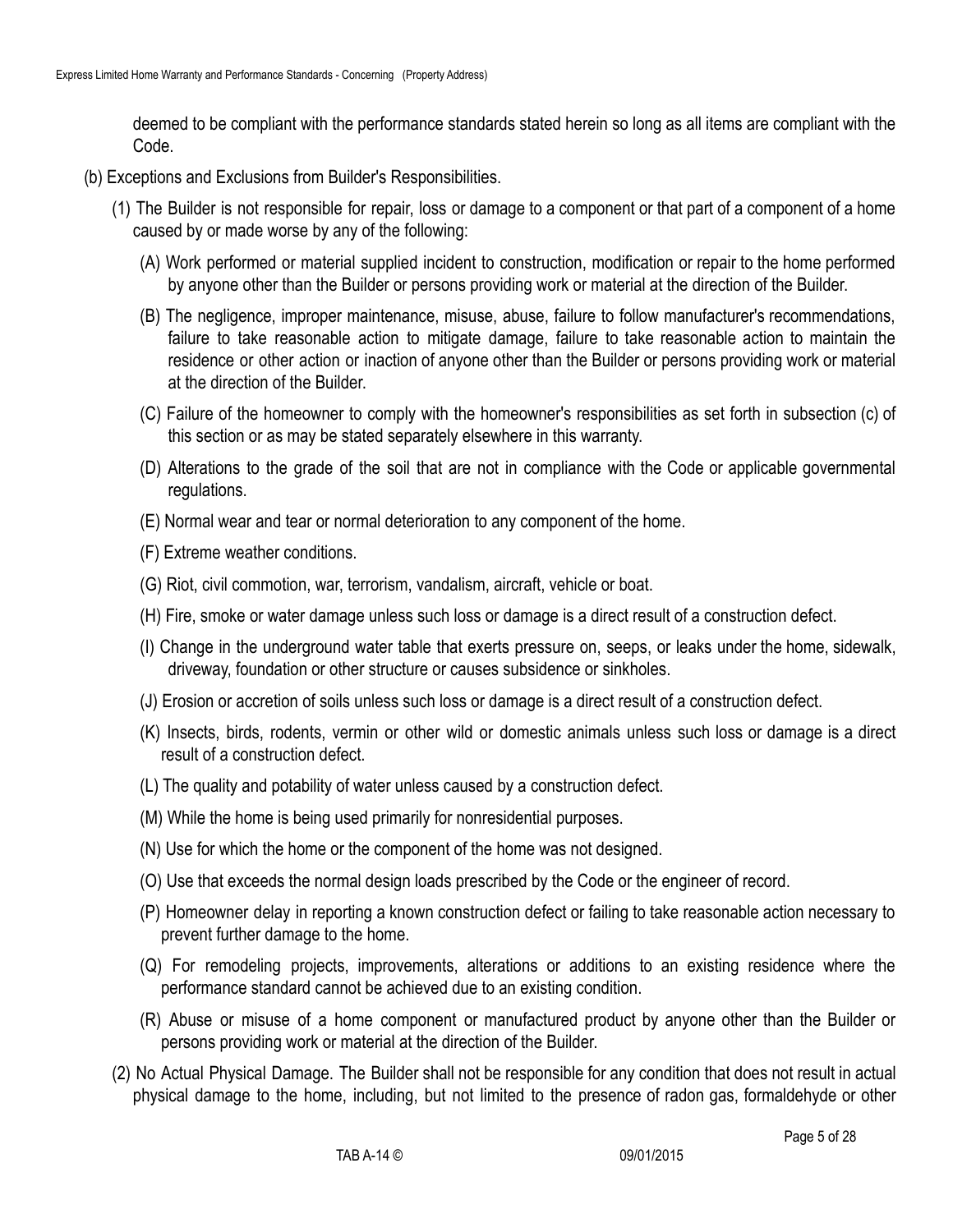deemed to be compliant with the performance standards stated herein so long as all items are compliant with the Code.

- (b) Exceptions and Exclusions from Builder's Responsibilities.
	- (1) The Builder is not responsible for repair, loss or damage to a component or that part of a component of a home caused by or made worse by any of the following:
		- (A) Work performed or material supplied incident to construction, modification or repair to the home performed by anyone other than the Builder or persons providing work or material at the direction of the Builder.
		- (B) The negligence, improper maintenance, misuse, abuse, failure to follow manufacturer's recommendations, failure to take reasonable action to mitigate damage, failure to take reasonable action to maintain the residence or other action or inaction of anyone other than the Builder or persons providing work or material at the direction of the Builder.
		- (C) Failure of the homeowner to comply with the homeowner's responsibilities as set forth in subsection (c) of this section or as may be stated separately elsewhere in this warranty.
		- (D) Alterations to the grade of the soil that are not in compliance with the Code or applicable governmental regulations.
		- (E) Normal wear and tear or normal deterioration to any component of the home.
		- (F) Extreme weather conditions.
		- (G) Riot, civil commotion, war, terrorism, vandalism, aircraft, vehicle or boat.
		- (H) Fire, smoke or water damage unless such loss or damage is a direct result of a construction defect.
		- (I) Change in the underground water table that exerts pressure on, seeps, or leaks under the home, sidewalk, driveway, foundation or other structure or causes subsidence or sinkholes.
		- (J) Erosion or accretion of soils unless such loss or damage is a direct result of a construction defect.
		- (K) Insects, birds, rodents, vermin or other wild or domestic animals unless such loss or damage is a direct result of a construction defect.
		- (L) The quality and potability of water unless caused by a construction defect.
		- (M) While the home is being used primarily for nonresidential purposes.
		- (N) Use for which the home or the component of the home was not designed.
		- (O) Use that exceeds the normal design loads prescribed by the Code or the engineer of record.
		- (P) Homeowner delay in reporting a known construction defect or failing to take reasonable action necessary to prevent further damage to the home.
		- (Q) For remodeling projects, improvements, alterations or additions to an existing residence where the performance standard cannot be achieved due to an existing condition.
		- (R) Abuse or misuse of a home component or manufactured product by anyone other than the Builder or persons providing work or material at the direction of the Builder.
	- (2) No Actual Physical Damage. The Builder shall not be responsible for any condition that does not result in actual physical damage to the home, including, but not limited to the presence of radon gas, formaldehyde or other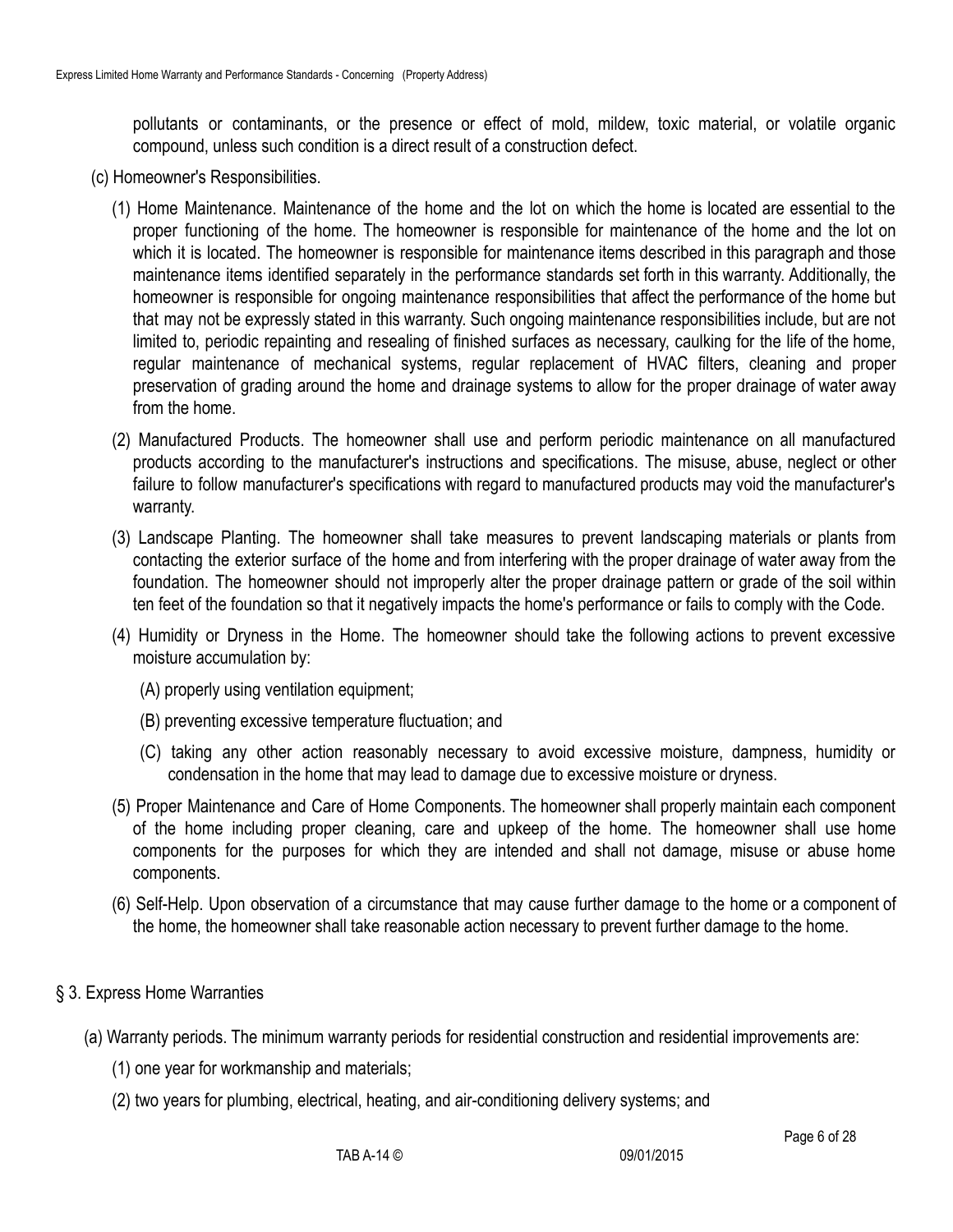pollutants or contaminants, or the presence or effect of mold, mildew, toxic material, or volatile organic compound, unless such condition is a direct result of a construction defect.

- (c) Homeowner's Responsibilities.
	- (1) Home Maintenance. Maintenance of the home and the lot on which the home is located are essential to the proper functioning of the home. The homeowner is responsible for maintenance of the home and the lot on which it is located. The homeowner is responsible for maintenance items described in this paragraph and those maintenance items identified separately in the performance standards set forth in this warranty. Additionally, the homeowner is responsible for ongoing maintenance responsibilities that affect the performance of the home but that may not be expressly stated in this warranty. Such ongoing maintenance responsibilities include, but are not limited to, periodic repainting and resealing of finished surfaces as necessary, caulking for the life of the home, regular maintenance of mechanical systems, regular replacement of HVAC filters, cleaning and proper preservation of grading around the home and drainage systems to allow for the proper drainage of water away from the home.
	- (2) Manufactured Products. The homeowner shall use and perform periodic maintenance on all manufactured products according to the manufacturer's instructions and specifications. The misuse, abuse, neglect or other failure to follow manufacturer's specifications with regard to manufactured products may void the manufacturer's warranty.
	- (3) Landscape Planting. The homeowner shall take measures to prevent landscaping materials or plants from contacting the exterior surface of the home and from interfering with the proper drainage of water away from the foundation. The homeowner should not improperly alter the proper drainage pattern or grade of the soil within ten feet of the foundation so that it negatively impacts the home's performance or fails to comply with the Code.
	- (4) Humidity or Dryness in the Home. The homeowner should take the following actions to prevent excessive moisture accumulation by:
		- (A) properly using ventilation equipment;
		- (B) preventing excessive temperature fluctuation; and
		- (C) taking any other action reasonably necessary to avoid excessive moisture, dampness, humidity or condensation in the home that may lead to damage due to excessive moisture or dryness.
	- (5) Proper Maintenance and Care of Home Components. The homeowner shall properly maintain each component of the home including proper cleaning, care and upkeep of the home. The homeowner shall use home components for the purposes for which they are intended and shall not damage, misuse or abuse home components.
	- (6) Self-Help. Upon observation of a circumstance that may cause further damage to the home or a component of the home, the homeowner shall take reasonable action necessary to prevent further damage to the home.

### § 3. Express Home Warranties

- (a) Warranty periods. The minimum warranty periods for residential construction and residential improvements are:
	- (1) one year for workmanship and materials;
	- (2) two years for plumbing, electrical, heating, and air-conditioning delivery systems; and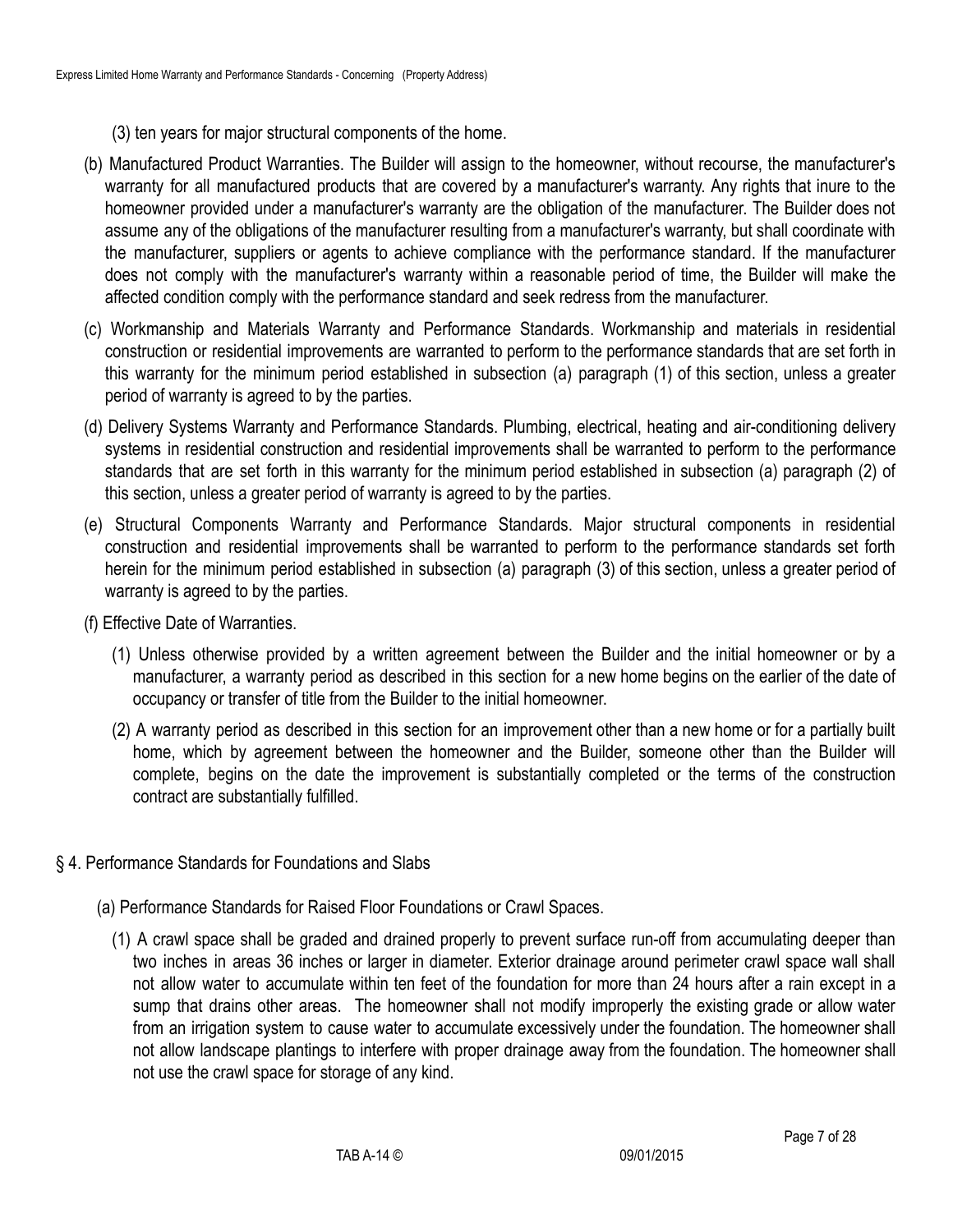- (3) ten years for major structural components of the home.
- (b) Manufactured Product Warranties. The Builder will assign to the homeowner, without recourse, the manufacturer's warranty for all manufactured products that are covered by a manufacturer's warranty. Any rights that inure to the homeowner provided under a manufacturer's warranty are the obligation of the manufacturer. The Builder does not assume any of the obligations of the manufacturer resulting from a manufacturer's warranty, but shall coordinate with the manufacturer, suppliers or agents to achieve compliance with the performance standard. If the manufacturer does not comply with the manufacturer's warranty within a reasonable period of time, the Builder will make the affected condition comply with the performance standard and seek redress from the manufacturer.
- (c) Workmanship and Materials Warranty and Performance Standards. Workmanship and materials in residential construction or residential improvements are warranted to perform to the performance standards that are set forth in this warranty for the minimum period established in subsection (a) paragraph (1) of this section, unless a greater period of warranty is agreed to by the parties.
- (d) Delivery Systems Warranty and Performance Standards. Plumbing, electrical, heating and air-conditioning delivery systems in residential construction and residential improvements shall be warranted to perform to the performance standards that are set forth in this warranty for the minimum period established in subsection (a) paragraph (2) of this section, unless a greater period of warranty is agreed to by the parties.
- (e) Structural Components Warranty and Performance Standards. Major structural components in residential construction and residential improvements shall be warranted to perform to the performance standards set forth herein for the minimum period established in subsection (a) paragraph (3) of this section, unless a greater period of warranty is agreed to by the parties.
- (f) Effective Date of Warranties.
	- (1) Unless otherwise provided by a written agreement between the Builder and the initial homeowner or by a manufacturer, a warranty period as described in this section for a new home begins on the earlier of the date of occupancy or transfer of title from the Builder to the initial homeowner.
	- (2) A warranty period as described in this section for an improvement other than a new home or for a partially built home, which by agreement between the homeowner and the Builder, someone other than the Builder will complete, begins on the date the improvement is substantially completed or the terms of the construction contract are substantially fulfilled.
- § 4. Performance Standards for Foundations and Slabs
	- (a) Performance Standards for Raised Floor Foundations or Crawl Spaces.
		- (1) A crawl space shall be graded and drained properly to prevent surface run-off from accumulating deeper than two inches in areas 36 inches or larger in diameter. Exterior drainage around perimeter crawl space wall shall not allow water to accumulate within ten feet of the foundation for more than 24 hours after a rain except in a sump that drains other areas. The homeowner shall not modify improperly the existing grade or allow water from an irrigation system to cause water to accumulate excessively under the foundation. The homeowner shall not allow landscape plantings to interfere with proper drainage away from the foundation. The homeowner shall not use the crawl space for storage of any kind.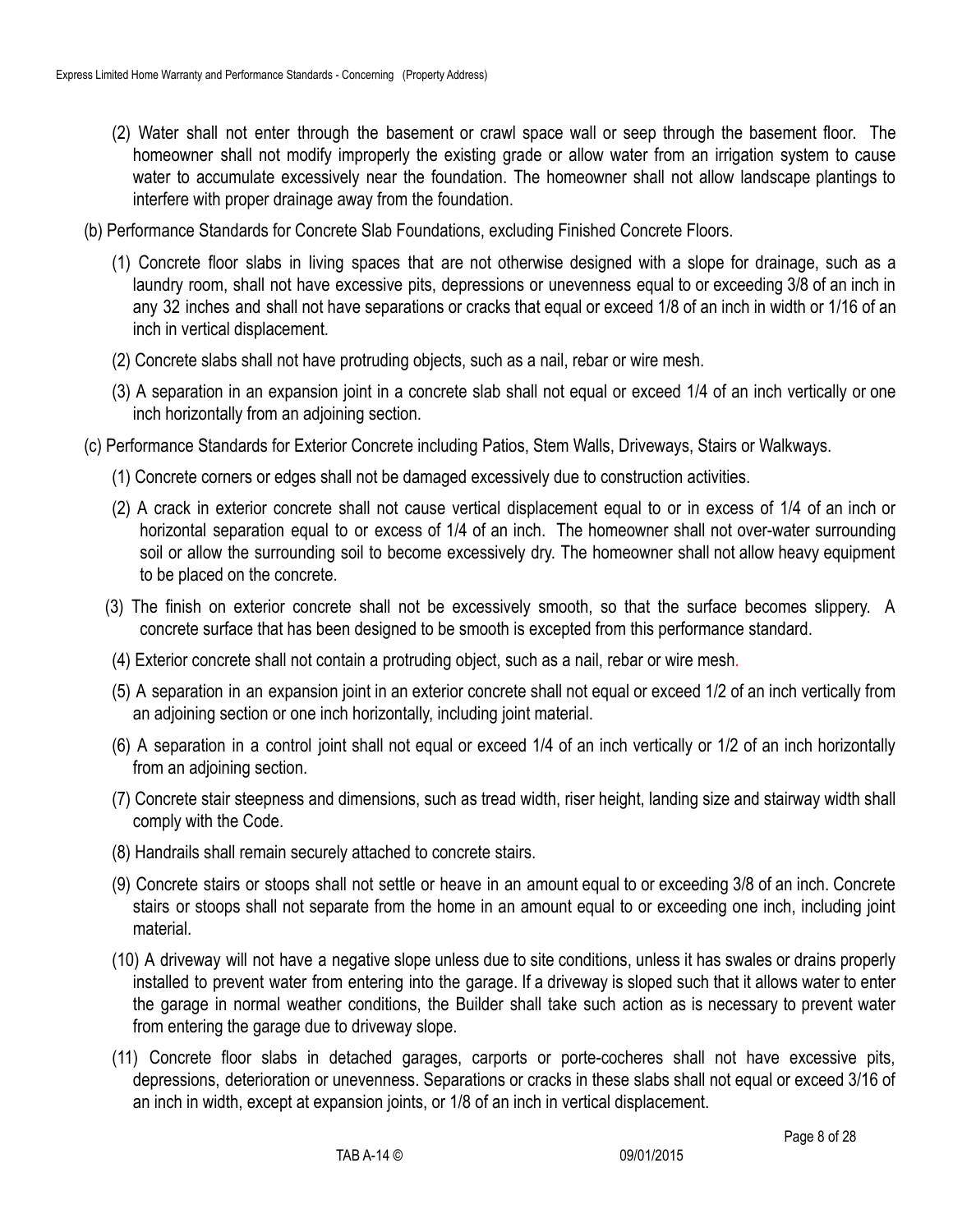- (2) Water shall not enter through the basement or crawl space wall or seep through the basement floor. The homeowner shall not modify improperly the existing grade or allow water from an irrigation system to cause water to accumulate excessively near the foundation. The homeowner shall not allow landscape plantings to interfere with proper drainage away from the foundation.
- (b) Performance Standards for Concrete Slab Foundations, excluding Finished Concrete Floors.
	- (1) Concrete floor slabs in living spaces that are not otherwise designed with a slope for drainage, such as a laundry room, shall not have excessive pits, depressions or unevenness equal to or exceeding 3/8 of an inch in any 32 inches and shall not have separations or cracks that equal or exceed 1/8 of an inch in width or 1/16 of an inch in vertical displacement.
	- (2) Concrete slabs shall not have protruding objects, such as a nail, rebar or wire mesh.
	- (3) A separation in an expansion joint in a concrete slab shall not equal or exceed 1/4 of an inch vertically or one inch horizontally from an adjoining section.
- (c) Performance Standards for Exterior Concrete including Patios, Stem Walls, Driveways, Stairs or Walkways.
	- (1) Concrete corners or edges shall not be damaged excessively due to construction activities.
	- (2) A crack in exterior concrete shall not cause vertical displacement equal to or in excess of 1/4 of an inch or horizontal separation equal to or excess of 1/4 of an inch. The homeowner shall not over-water surrounding soil or allow the surrounding soil to become excessively dry. The homeowner shall not allow heavy equipment to be placed on the concrete.
	- (3) The finish on exterior concrete shall not be excessively smooth, so that the surface becomes slippery. A concrete surface that has been designed to be smooth is excepted from this performance standard.
	- (4) Exterior concrete shall not contain a protruding object, such as a nail, rebar or wire mesh.
	- (5) A separation in an expansion joint in an exterior concrete shall not equal or exceed 1/2 of an inch vertically from an adjoining section or one inch horizontally, including joint material.
	- (6) A separation in a control joint shall not equal or exceed 1/4 of an inch vertically or 1/2 of an inch horizontally from an adjoining section.
	- (7) Concrete stair steepness and dimensions, such as tread width, riser height, landing size and stairway width shall comply with the Code.
	- (8) Handrails shall remain securely attached to concrete stairs.
	- (9) Concrete stairs or stoops shall not settle or heave in an amount equal to or exceeding 3/8 of an inch. Concrete stairs or stoops shall not separate from the home in an amount equal to or exceeding one inch, including joint material.
	- (10) A driveway will not have a negative slope unless due to site conditions, unless it has swales or drains properly installed to prevent water from entering into the garage. If a driveway is sloped such that it allows water to enter the garage in normal weather conditions, the Builder shall take such action as is necessary to prevent water from entering the garage due to driveway slope.
	- (11) Concrete floor slabs in detached garages, carports or porte-cocheres shall not have excessive pits, depressions, deterioration or unevenness. Separations or cracks in these slabs shall not equal or exceed 3/16 of an inch in width, except at expansion joints, or 1/8 of an inch in vertical displacement.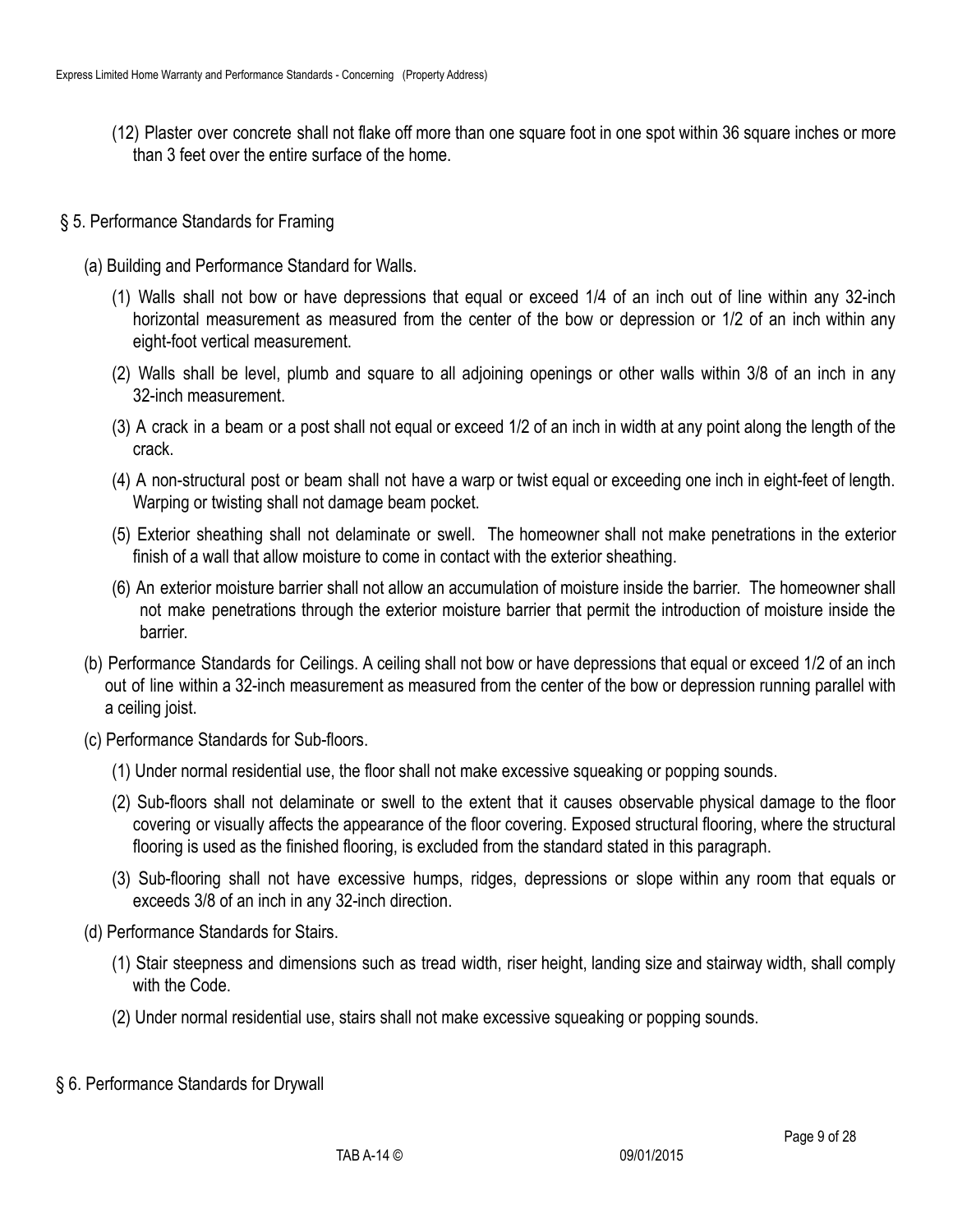- (12) Plaster over concrete shall not flake off more than one square foot in one spot within 36 square inches or more than 3 feet over the entire surface of the home.
- § 5. Performance Standards for Framing
	- (a) Building and Performance Standard for Walls.
		- (1) Walls shall not bow or have depressions that equal or exceed 1/4 of an inch out of line within any 32-inch horizontal measurement as measured from the center of the bow or depression or 1/2 of an inch within any eight-foot vertical measurement.
		- (2) Walls shall be level, plumb and square to all adjoining openings or other walls within 3/8 of an inch in any 32-inch measurement.
		- (3) A crack in a beam or a post shall not equal or exceed 1/2 of an inch in width at any point along the length of the crack.
		- (4) A non-structural post or beam shall not have a warp or twist equal or exceeding one inch in eight-feet of length. Warping or twisting shall not damage beam pocket.
		- (5) Exterior sheathing shall not delaminate or swell. The homeowner shall not make penetrations in the exterior finish of a wall that allow moisture to come in contact with the exterior sheathing.
		- (6) An exterior moisture barrier shall not allow an accumulation of moisture inside the barrier. The homeowner shall not make penetrations through the exterior moisture barrier that permit the introduction of moisture inside the barrier.
	- (b) Performance Standards for Ceilings. A ceiling shall not bow or have depressions that equal or exceed 1/2 of an inch out of line within a 32-inch measurement as measured from the center of the bow or depression running parallel with a ceiling joist.
	- (c) Performance Standards for Sub-floors.
		- (1) Under normal residential use, the floor shall not make excessive squeaking or popping sounds.
		- (2) Sub-floors shall not delaminate or swell to the extent that it causes observable physical damage to the floor covering or visually affects the appearance of the floor covering. Exposed structural flooring, where the structural flooring is used as the finished flooring, is excluded from the standard stated in this paragraph.
		- (3) Sub-flooring shall not have excessive humps, ridges, depressions or slope within any room that equals or exceeds 3/8 of an inch in any 32-inch direction.
	- (d) Performance Standards for Stairs.
		- (1) Stair steepness and dimensions such as tread width, riser height, landing size and stairway width, shall comply with the Code.
		- (2) Under normal residential use, stairs shall not make excessive squeaking or popping sounds.
- § 6. Performance Standards for Drywall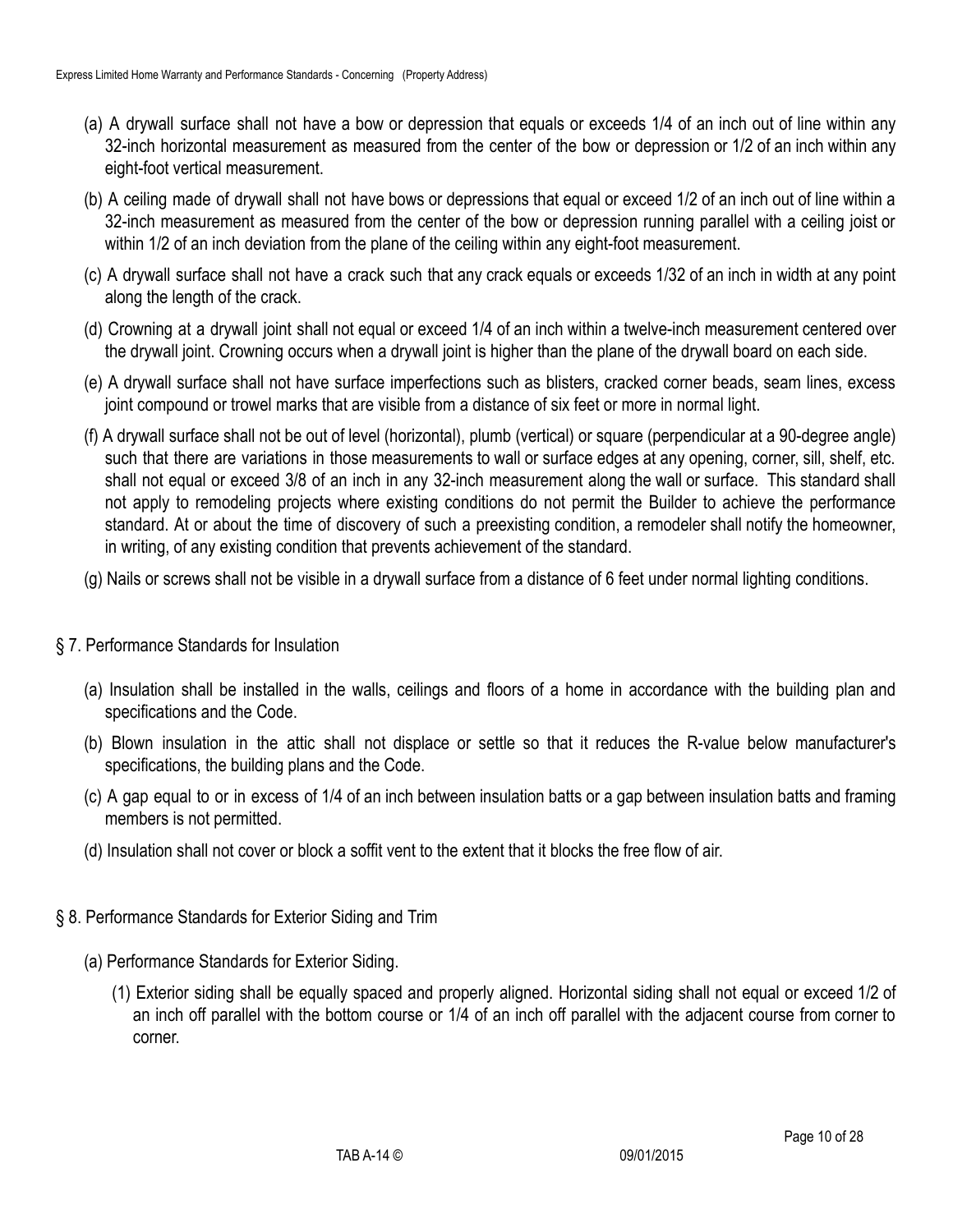- (a) A drywall surface shall not have a bow or depression that equals or exceeds 1/4 of an inch out of line within any 32-inch horizontal measurement as measured from the center of the bow or depression or 1/2 of an inch within any eight-foot vertical measurement.
- (b) A ceiling made of drywall shall not have bows or depressions that equal or exceed 1/2 of an inch out of line within a 32-inch measurement as measured from the center of the bow or depression running parallel with a ceiling joist or within 1/2 of an inch deviation from the plane of the ceiling within any eight-foot measurement.
- (c) A drywall surface shall not have a crack such that any crack equals or exceeds 1/32 of an inch in width at any point along the length of the crack.
- (d) Crowning at a drywall joint shall not equal or exceed 1/4 of an inch within a twelve-inch measurement centered over the drywall joint. Crowning occurs when a drywall joint is higher than the plane of the drywall board on each side.
- (e) A drywall surface shall not have surface imperfections such as blisters, cracked corner beads, seam lines, excess joint compound or trowel marks that are visible from a distance of six feet or more in normal light.
- (f) A drywall surface shall not be out of level (horizontal), plumb (vertical) or square (perpendicular at a 90-degree angle) such that there are variations in those measurements to wall or surface edges at any opening, corner, sill, shelf, etc. shall not equal or exceed 3/8 of an inch in any 32-inch measurement along the wall or surface. This standard shall not apply to remodeling projects where existing conditions do not permit the Builder to achieve the performance standard. At or about the time of discovery of such a preexisting condition, a remodeler shall notify the homeowner, in writing, of any existing condition that prevents achievement of the standard.
- (g) Nails or screws shall not be visible in a drywall surface from a distance of 6 feet under normal lighting conditions.

### § 7. Performance Standards for Insulation

- (a) Insulation shall be installed in the walls, ceilings and floors of a home in accordance with the building plan and specifications and the Code.
- (b) Blown insulation in the attic shall not displace or settle so that it reduces the R-value below manufacturer's specifications, the building plans and the Code.
- (c) A gap equal to or in excess of 1/4 of an inch between insulation batts or a gap between insulation batts and framing members is not permitted.
- (d) Insulation shall not cover or block a soffit vent to the extent that it blocks the free flow of air.
- § 8. Performance Standards for Exterior Siding and Trim
	- (a) Performance Standards for Exterior Siding.
		- (1) Exterior siding shall be equally spaced and properly aligned. Horizontal siding shall not equal or exceed 1/2 of an inch off parallel with the bottom course or 1/4 of an inch off parallel with the adjacent course from corner to corner.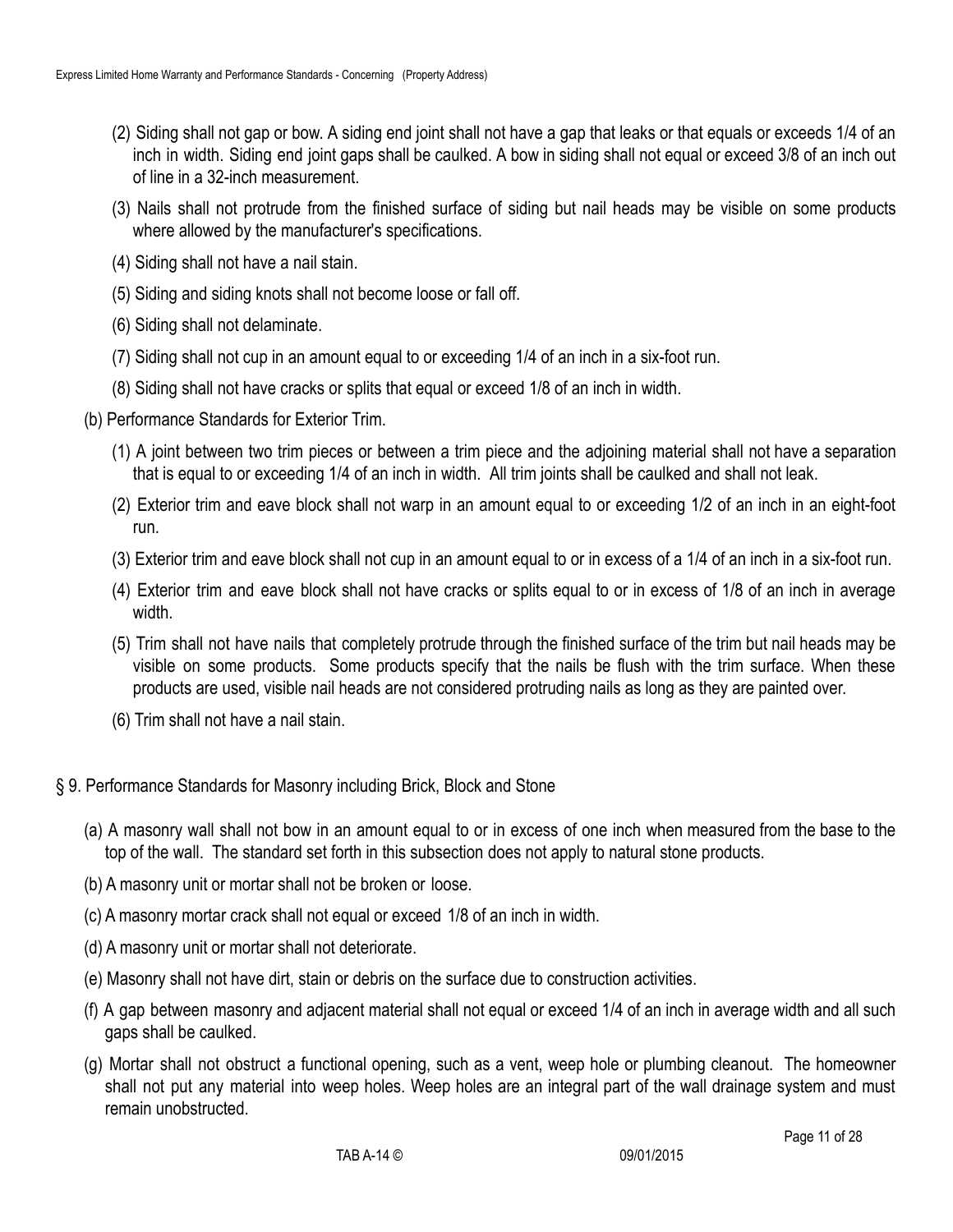- (2) Siding shall not gap or bow. A siding end joint shall not have a gap that leaks or that equals or exceeds 1/4 of an inch in width. Siding end joint gaps shall be caulked. A bow in siding shall not equal or exceed 3/8 of an inch out of line in a 32-inch measurement.
- (3) Nails shall not protrude from the finished surface of siding but nail heads may be visible on some products where allowed by the manufacturer's specifications.
- (4) Siding shall not have a nail stain.
- (5) Siding and siding knots shall not become loose or fall off.
- (6) Siding shall not delaminate.
- (7) Siding shall not cup in an amount equal to or exceeding 1/4 of an inch in a six-foot run.
- (8) Siding shall not have cracks or splits that equal or exceed 1/8 of an inch in width.
- (b) Performance Standards for Exterior Trim.
	- (1) A joint between two trim pieces or between a trim piece and the adjoining material shall not have a separation that is equal to or exceeding 1/4 of an inch in width. All trim joints shall be caulked and shall not leak.
	- (2) Exterior trim and eave block shall not warp in an amount equal to or exceeding 1/2 of an inch in an eight-foot run.
	- (3) Exterior trim and eave block shall not cup in an amount equal to or in excess of a 1/4 of an inch in a six-foot run.
	- (4) Exterior trim and eave block shall not have cracks or splits equal to or in excess of 1/8 of an inch in average width.
	- (5) Trim shall not have nails that completely protrude through the finished surface of the trim but nail heads may be visible on some products. Some products specify that the nails be flush with the trim surface. When these products are used, visible nail heads are not considered protruding nails as long as they are painted over.
	- (6) Trim shall not have a nail stain.
- § 9. Performance Standards for Masonry including Brick, Block and Stone
	- (a) A masonry wall shall not bow in an amount equal to or in excess of one inch when measured from the base to the top of the wall. The standard set forth in this subsection does not apply to natural stone products.
	- (b) A masonry unit or mortar shall not be broken or loose.
	- (c) A masonry mortar crack shall not equal or exceed 1/8 of an inch in width.
	- (d) A masonry unit or mortar shall not deteriorate.
	- (e) Masonry shall not have dirt, stain or debris on the surface due to construction activities.
	- (f) A gap between masonry and adjacent material shall not equal or exceed 1/4 of an inch in average width and all such gaps shall be caulked.
	- (g) Mortar shall not obstruct a functional opening, such as a vent, weep hole or plumbing cleanout. The homeowner shall not put any material into weep holes. Weep holes are an integral part of the wall drainage system and must remain unobstructed.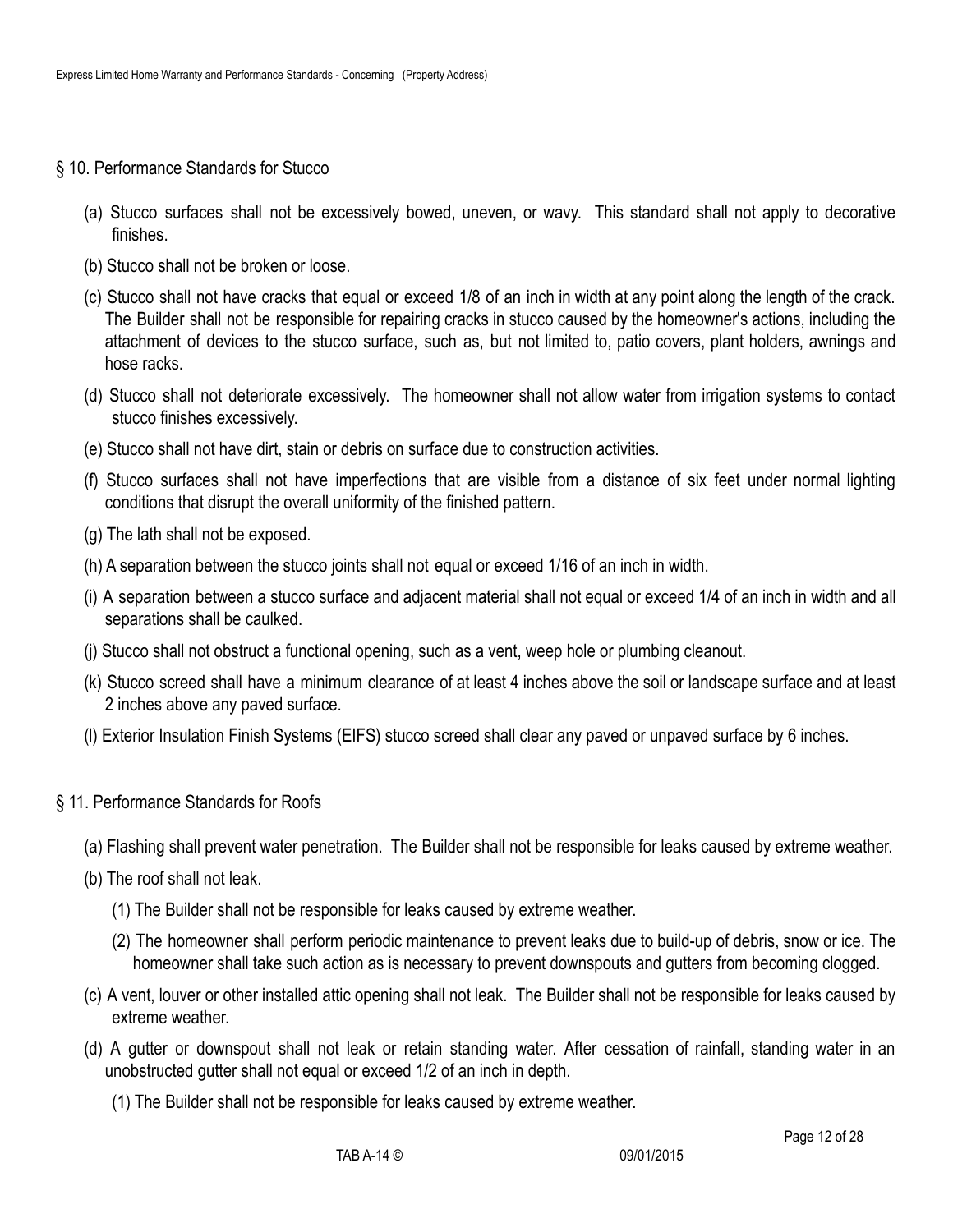- § 10. Performance Standards for Stucco
	- (a) Stucco surfaces shall not be excessively bowed, uneven, or wavy. This standard shall not apply to decorative finishes.
	- (b) Stucco shall not be broken or loose.
	- (c) Stucco shall not have cracks that equal or exceed 1/8 of an inch in width at any point along the length of the crack. The Builder shall not be responsible for repairing cracks in stucco caused by the homeowner's actions, including the attachment of devices to the stucco surface, such as, but not limited to, patio covers, plant holders, awnings and hose racks.
	- (d) Stucco shall not deteriorate excessively. The homeowner shall not allow water from irrigation systems to contact stucco finishes excessively.
	- (e) Stucco shall not have dirt, stain or debris on surface due to construction activities.
	- (f) Stucco surfaces shall not have imperfections that are visible from a distance of six feet under normal lighting conditions that disrupt the overall uniformity of the finished pattern.
	- (g) The lath shall not be exposed.
	- (h) A separation between the stucco joints shall not equal or exceed 1/16 of an inch in width.
	- (i) A separation between a stucco surface and adjacent material shall not equal or exceed 1/4 of an inch in width and all separations shall be caulked.
	- (j) Stucco shall not obstruct a functional opening, such as a vent, weep hole or plumbing cleanout.
	- (k) Stucco screed shall have a minimum clearance of at least 4 inches above the soil or landscape surface and at least 2 inches above any paved surface.
	- (l) Exterior Insulation Finish Systems (EIFS) stucco screed shall clear any paved or unpaved surface by 6 inches.
- § 11. Performance Standards for Roofs
	- (a) Flashing shall prevent water penetration. The Builder shall not be responsible for leaks caused by extreme weather.
	- (b) The roof shall not leak.
		- (1) The Builder shall not be responsible for leaks caused by extreme weather.
		- (2) The homeowner shall perform periodic maintenance to prevent leaks due to build-up of debris, snow or ice. The homeowner shall take such action as is necessary to prevent downspouts and gutters from becoming clogged.
	- (c) A vent, louver or other installed attic opening shall not leak. The Builder shall not be responsible for leaks caused by extreme weather.
	- (d) A gutter or downspout shall not leak or retain standing water. After cessation of rainfall, standing water in an unobstructed gutter shall not equal or exceed 1/2 of an inch in depth.
		- (1) The Builder shall not be responsible for leaks caused by extreme weather.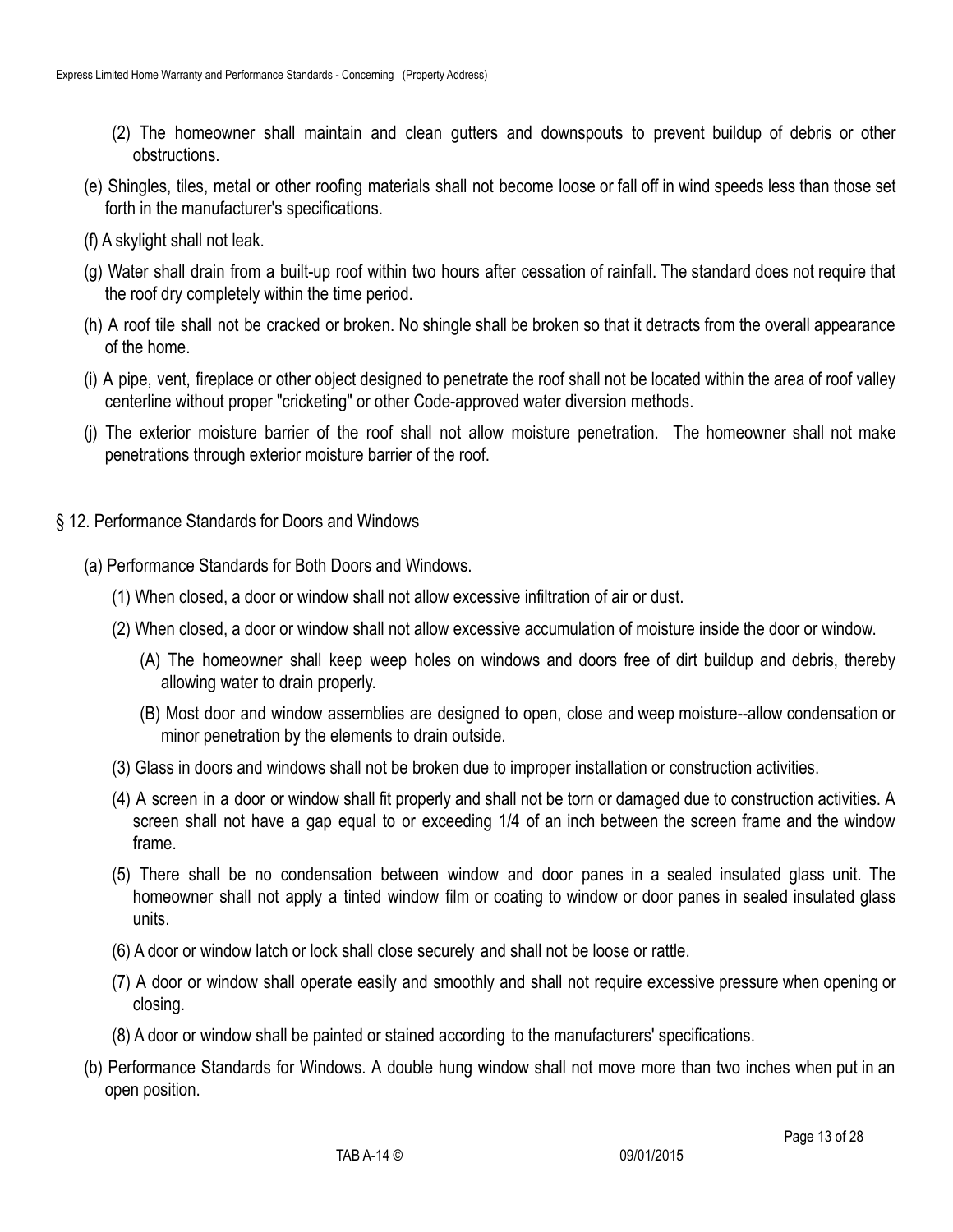- (2) The homeowner shall maintain and clean gutters and downspouts to prevent buildup of debris or other obstructions.
- (e) Shingles, tiles, metal or other roofing materials shall not become loose or fall off in wind speeds less than those set forth in the manufacturer's specifications.
- (f) A skylight shall not leak.
- (g) Water shall drain from a built-up roof within two hours after cessation of rainfall. The standard does not require that the roof dry completely within the time period.
- (h) A roof tile shall not be cracked or broken. No shingle shall be broken so that it detracts from the overall appearance of the home.
- (i) A pipe, vent, fireplace or other object designed to penetrate the roof shall not be located within the area of roof valley centerline without proper "cricketing" or other Code-approved water diversion methods.
- (j) The exterior moisture barrier of the roof shall not allow moisture penetration. The homeowner shall not make penetrations through exterior moisture barrier of the roof.
- § 12. Performance Standards for Doors and Windows
	- (a) Performance Standards for Both Doors and Windows.
		- (1) When closed, a door or window shall not allow excessive infiltration of air or dust.
		- (2) When closed, a door or window shall not allow excessive accumulation of moisture inside the door or window.
			- (A) The homeowner shall keep weep holes on windows and doors free of dirt buildup and debris, thereby allowing water to drain properly.
			- (B) Most door and window assemblies are designed to open, close and weep moisture--allow condensation or minor penetration by the elements to drain outside.
		- (3) Glass in doors and windows shall not be broken due to improper installation or construction activities.
		- (4) A screen in a door or window shall fit properly and shall not be torn or damaged due to construction activities. A screen shall not have a gap equal to or exceeding 1/4 of an inch between the screen frame and the window frame.
		- (5) There shall be no condensation between window and door panes in a sealed insulated glass unit. The homeowner shall not apply a tinted window film or coating to window or door panes in sealed insulated glass units.
		- (6) A door or window latch or lock shall close securely and shall not be loose or rattle.
		- (7) A door or window shall operate easily and smoothly and shall not require excessive pressure when opening or closing.
		- (8) A door or window shall be painted or stained according to the manufacturers' specifications.
	- (b) Performance Standards for Windows. A double hung window shall not move more than two inches when put in an open position.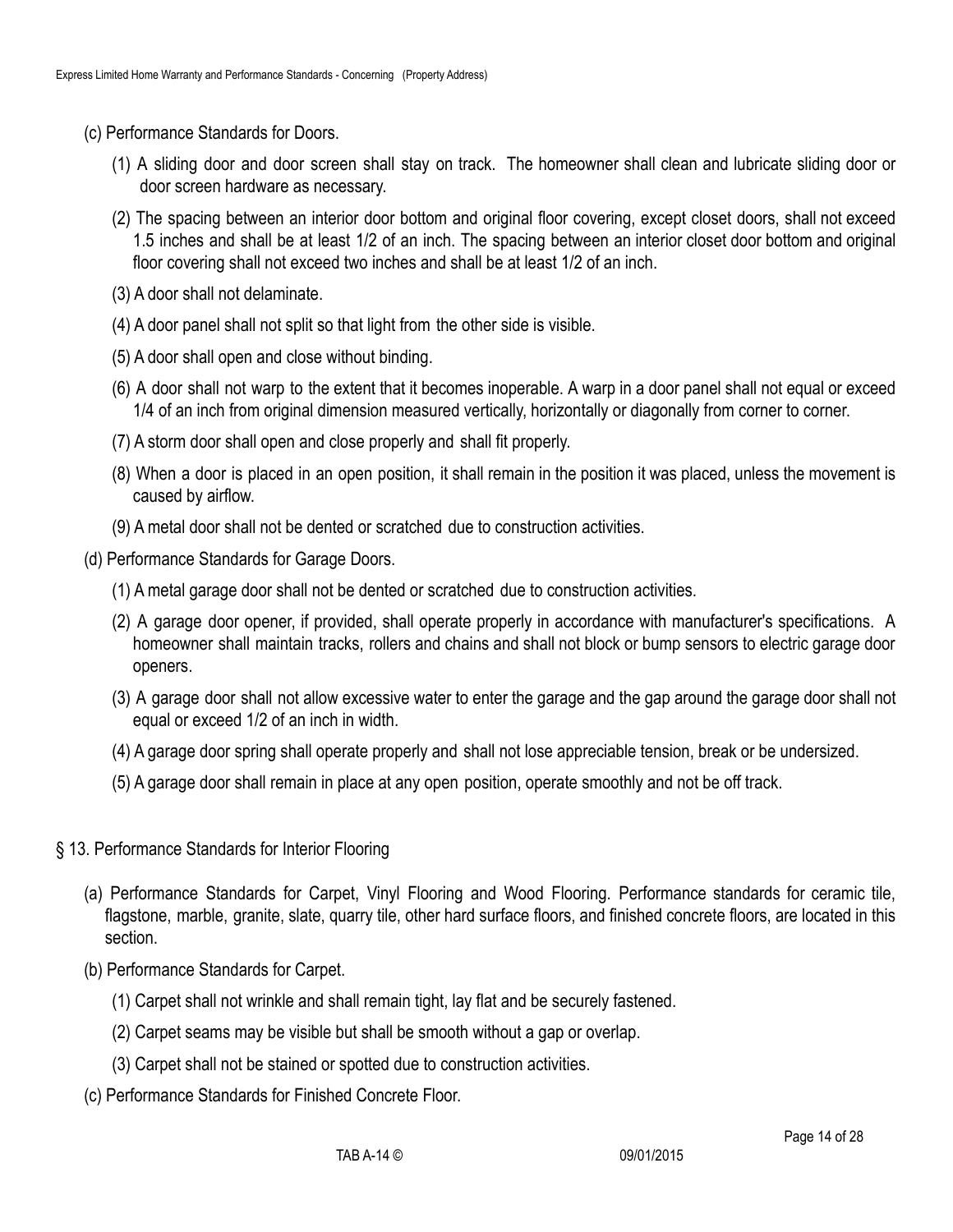- (c) Performance Standards for Doors.
	- (1) A sliding door and door screen shall stay on track. The homeowner shall clean and lubricate sliding door or door screen hardware as necessary.
	- (2) The spacing between an interior door bottom and original floor covering, except closet doors, shall not exceed 1.5 inches and shall be at least 1/2 of an inch. The spacing between an interior closet door bottom and original floor covering shall not exceed two inches and shall be at least 1/2 of an inch.
	- (3) A door shall not delaminate.
	- (4) A door panel shall not split so that light from the other side is visible.
	- (5) A door shall open and close without binding.
	- (6) A door shall not warp to the extent that it becomes inoperable. A warp in a door panel shall not equal or exceed 1/4 of an inch from original dimension measured vertically, horizontally or diagonally from corner to corner.
	- (7) A storm door shall open and close properly and shall fit properly.
	- (8) When a door is placed in an open position, it shall remain in the position it was placed, unless the movement is caused by airflow.
	- (9) A metal door shall not be dented or scratched due to construction activities.
- (d) Performance Standards for Garage Doors.
	- (1) A metal garage door shall not be dented or scratched due to construction activities.
	- (2) A garage door opener, if provided, shall operate properly in accordance with manufacturer's specifications. A homeowner shall maintain tracks, rollers and chains and shall not block or bump sensors to electric garage door openers.
	- (3) A garage door shall not allow excessive water to enter the garage and the gap around the garage door shall not equal or exceed 1/2 of an inch in width.
	- (4) A garage door spring shall operate properly and shall not lose appreciable tension, break or be undersized.
	- (5) A garage door shall remain in place at any open position, operate smoothly and not be off track.
- § 13. Performance Standards for Interior Flooring
	- (a) Performance Standards for Carpet, Vinyl Flooring and Wood Flooring. Performance standards for ceramic tile, flagstone, marble, granite, slate, quarry tile, other hard surface floors, and finished concrete floors, are located in this section.
	- (b) Performance Standards for Carpet.
		- (1) Carpet shall not wrinkle and shall remain tight, lay flat and be securely fastened.
		- (2) Carpet seams may be visible but shall be smooth without a gap or overlap.
		- (3) Carpet shall not be stained or spotted due to construction activities.
	- (c) Performance Standards for Finished Concrete Floor.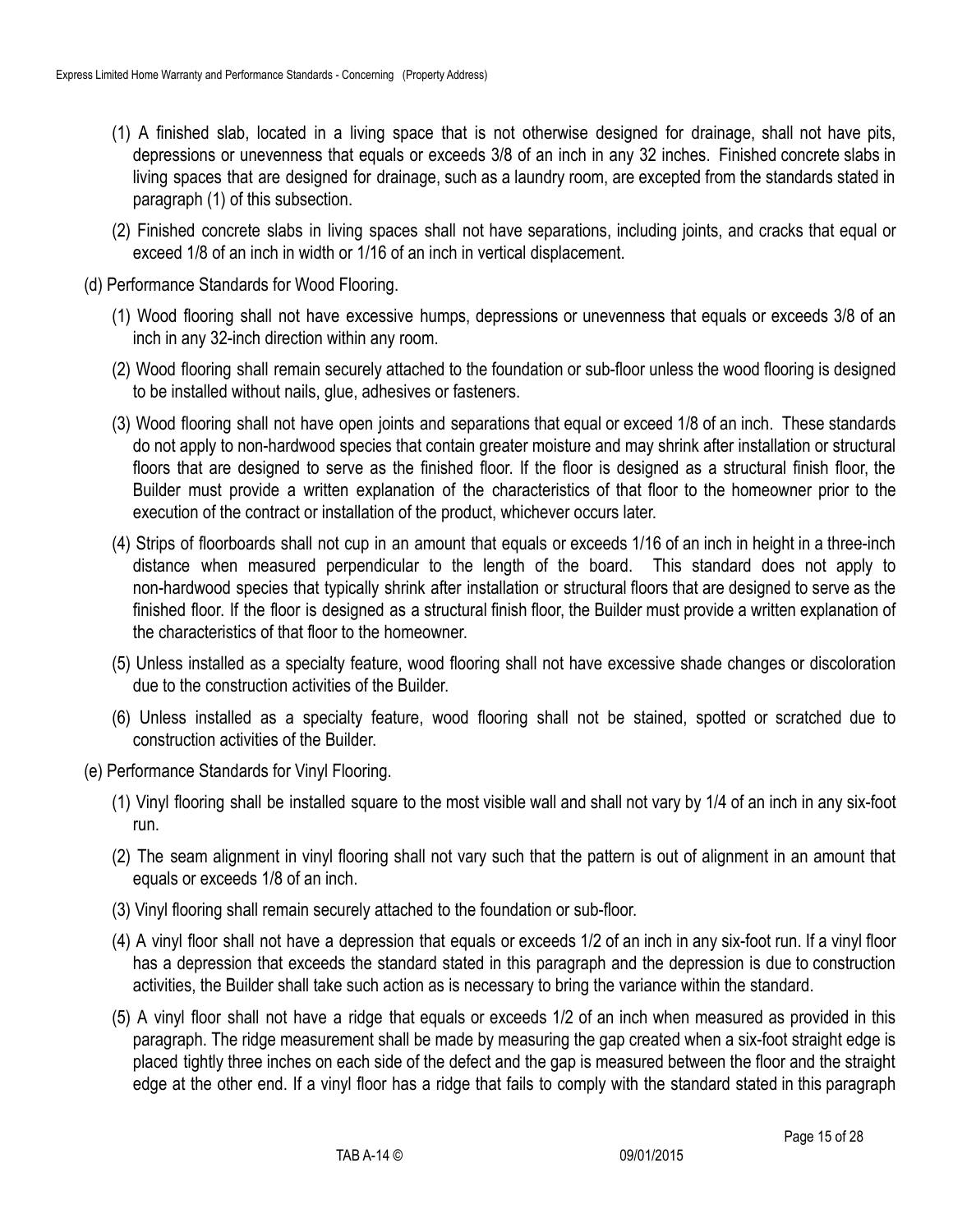- (1) A finished slab, located in a living space that is not otherwise designed for drainage, shall not have pits, depressions or unevenness that equals or exceeds 3/8 of an inch in any 32 inches. Finished concrete slabs in living spaces that are designed for drainage, such as a laundry room, are excepted from the standards stated in paragraph (1) of this subsection.
- (2) Finished concrete slabs in living spaces shall not have separations, including joints, and cracks that equal or exceed 1/8 of an inch in width or 1/16 of an inch in vertical displacement.
- (d) Performance Standards for Wood Flooring.
	- (1) Wood flooring shall not have excessive humps, depressions or unevenness that equals or exceeds 3/8 of an inch in any 32-inch direction within any room.
	- (2) Wood flooring shall remain securely attached to the foundation or sub-floor unless the wood flooring is designed to be installed without nails, glue, adhesives or fasteners.
	- (3) Wood flooring shall not have open joints and separations that equal or exceed 1/8 of an inch. These standards do not apply to non-hardwood species that contain greater moisture and may shrink after installation or structural floors that are designed to serve as the finished floor. If the floor is designed as a structural finish floor, the Builder must provide a written explanation of the characteristics of that floor to the homeowner prior to the execution of the contract or installation of the product, whichever occurs later.
	- (4) Strips of floorboards shall not cup in an amount that equals or exceeds 1/16 of an inch in height in a three-inch distance when measured perpendicular to the length of the board. This standard does not apply to non-hardwood species that typically shrink after installation or structural floors that are designed to serve as the finished floor. If the floor is designed as a structural finish floor, the Builder must provide a written explanation of the characteristics of that floor to the homeowner.
	- (5) Unless installed as a specialty feature, wood flooring shall not have excessive shade changes or discoloration due to the construction activities of the Builder.
	- (6) Unless installed as a specialty feature, wood flooring shall not be stained, spotted or scratched due to construction activities of the Builder.
- (e) Performance Standards for Vinyl Flooring.
	- (1) Vinyl flooring shall be installed square to the most visible wall and shall not vary by 1/4 of an inch in any six-foot run.
	- (2) The seam alignment in vinyl flooring shall not vary such that the pattern is out of alignment in an amount that equals or exceeds 1/8 of an inch.
	- (3) Vinyl flooring shall remain securely attached to the foundation or sub-floor.
	- (4) A vinyl floor shall not have a depression that equals or exceeds 1/2 of an inch in any six-foot run. If a vinyl floor has a depression that exceeds the standard stated in this paragraph and the depression is due to construction activities, the Builder shall take such action as is necessary to bring the variance within the standard.
	- (5) A vinyl floor shall not have a ridge that equals or exceeds 1/2 of an inch when measured as provided in this paragraph. The ridge measurement shall be made by measuring the gap created when a six-foot straight edge is placed tightly three inches on each side of the defect and the gap is measured between the floor and the straight edge at the other end. If a vinyl floor has a ridge that fails to comply with the standard stated in this paragraph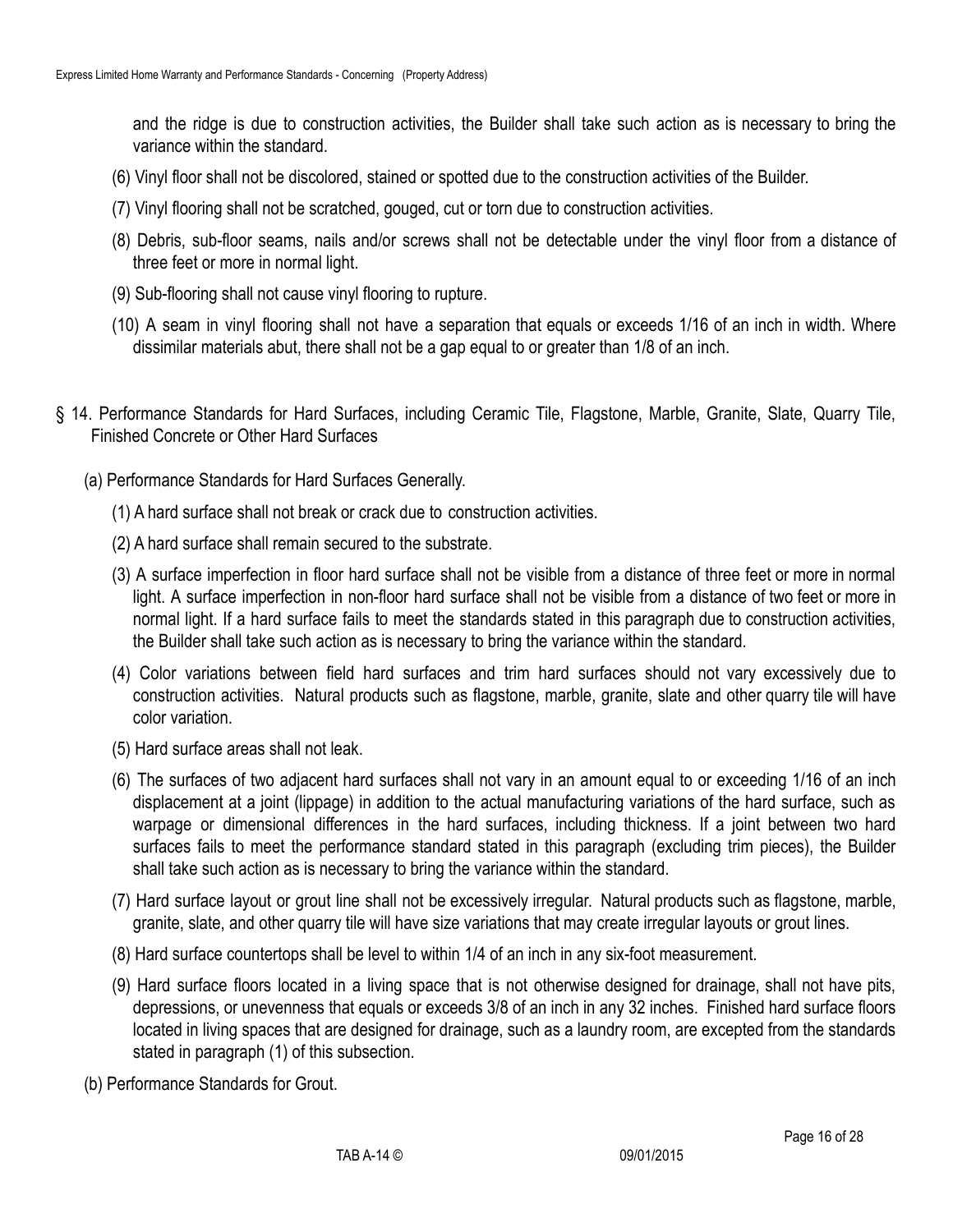and the ridge is due to construction activities, the Builder shall take such action as is necessary to bring the variance within the standard.

- (6) Vinyl floor shall not be discolored, stained or spotted due to the construction activities of the Builder.
- (7) Vinyl flooring shall not be scratched, gouged, cut or torn due to construction activities.
- (8) Debris, sub-floor seams, nails and/or screws shall not be detectable under the vinyl floor from a distance of three feet or more in normal light.
- (9) Sub-flooring shall not cause vinyl flooring to rupture.
- (10) A seam in vinyl flooring shall not have a separation that equals or exceeds 1/16 of an inch in width. Where dissimilar materials abut, there shall not be a gap equal to or greater than 1/8 of an inch.
- § 14. Performance Standards for Hard Surfaces, including Ceramic Tile, Flagstone, Marble, Granite, Slate, Quarry Tile, Finished Concrete or Other Hard Surfaces
	- (a) Performance Standards for Hard Surfaces Generally.
		- (1) A hard surface shall not break or crack due to construction activities.
		- (2) A hard surface shall remain secured to the substrate.
		- (3) A surface imperfection in floor hard surface shall not be visible from a distance of three feet or more in normal light. A surface imperfection in non-floor hard surface shall not be visible from a distance of two feet or more in normal light. If a hard surface fails to meet the standards stated in this paragraph due to construction activities, the Builder shall take such action as is necessary to bring the variance within the standard.
		- (4) Color variations between field hard surfaces and trim hard surfaces should not vary excessively due to construction activities. Natural products such as flagstone, marble, granite, slate and other quarry tile will have color variation.
		- (5) Hard surface areas shall not leak.
		- (6) The surfaces of two adjacent hard surfaces shall not vary in an amount equal to or exceeding 1/16 of an inch displacement at a joint (lippage) in addition to the actual manufacturing variations of the hard surface, such as warpage or dimensional differences in the hard surfaces, including thickness. If a joint between two hard surfaces fails to meet the performance standard stated in this paragraph (excluding trim pieces), the Builder shall take such action as is necessary to bring the variance within the standard.
		- (7) Hard surface layout or grout line shall not be excessively irregular. Natural products such as flagstone, marble, granite, slate, and other quarry tile will have size variations that may create irregular layouts or grout lines.
		- (8) Hard surface countertops shall be level to within 1/4 of an inch in any six-foot measurement.
		- (9) Hard surface floors located in a living space that is not otherwise designed for drainage, shall not have pits, depressions, or unevenness that equals or exceeds 3/8 of an inch in any 32 inches. Finished hard surface floors located in living spaces that are designed for drainage, such as a laundry room, are excepted from the standards stated in paragraph (1) of this subsection.
	- (b) Performance Standards for Grout.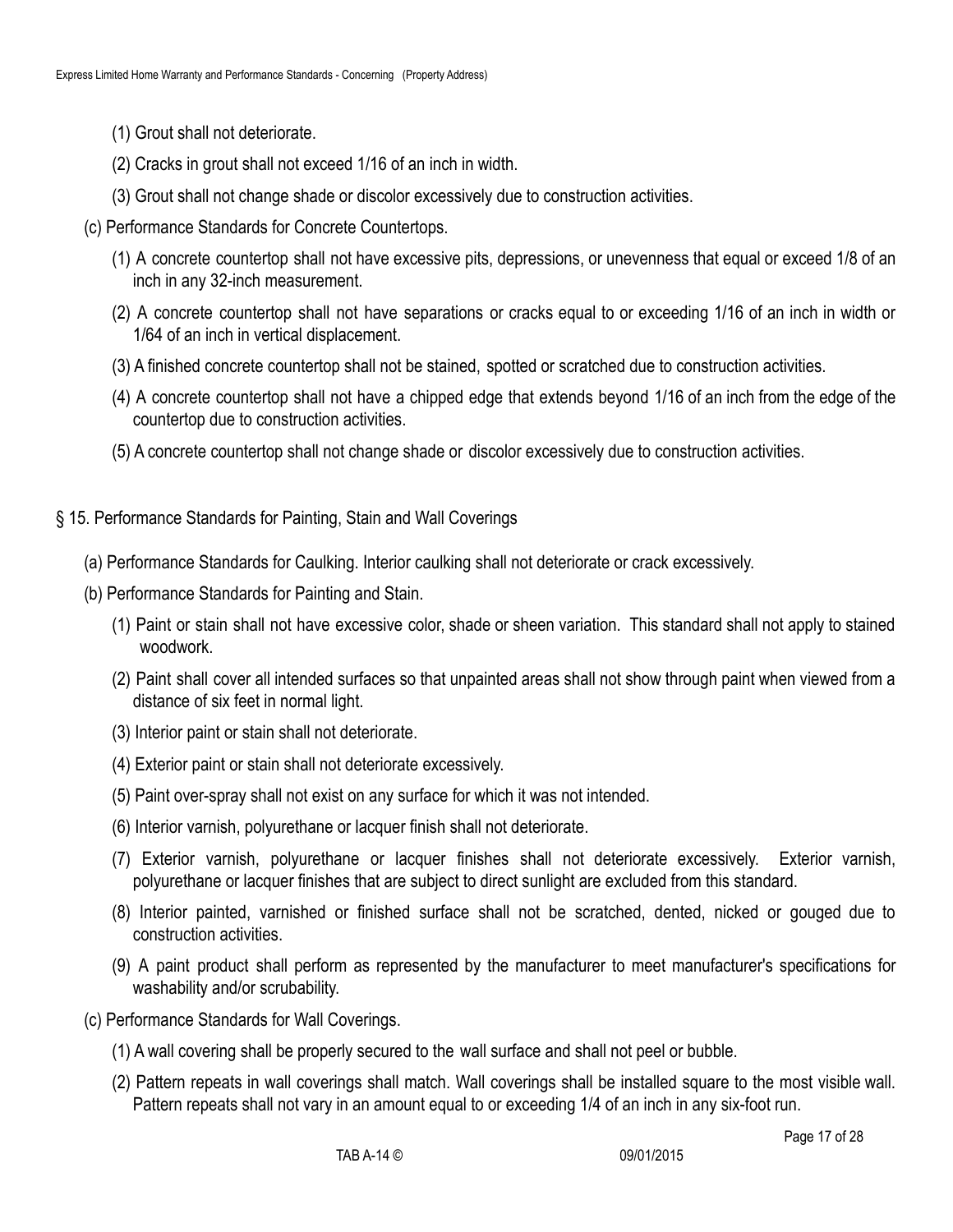- (1) Grout shall not deteriorate.
- (2) Cracks in grout shall not exceed 1/16 of an inch in width.
- (3) Grout shall not change shade or discolor excessively due to construction activities.
- (c) Performance Standards for Concrete Countertops.
	- (1) A concrete countertop shall not have excessive pits, depressions, or unevenness that equal or exceed 1/8 of an inch in any 32-inch measurement.
	- (2) A concrete countertop shall not have separations or cracks equal to or exceeding 1/16 of an inch in width or 1/64 of an inch in vertical displacement.
	- (3) A finished concrete countertop shall not be stained, spotted or scratched due to construction activities.
	- (4) A concrete countertop shall not have a chipped edge that extends beyond 1/16 of an inch from the edge of the countertop due to construction activities.
	- (5) A concrete countertop shall not change shade or discolor excessively due to construction activities.
- § 15. Performance Standards for Painting, Stain and Wall Coverings
	- (a) Performance Standards for Caulking. Interior caulking shall not deteriorate or crack excessively.
	- (b) Performance Standards for Painting and Stain.
		- (1) Paint or stain shall not have excessive color, shade or sheen variation. This standard shall not apply to stained woodwork.
		- (2) Paint shall cover all intended surfaces so that unpainted areas shall not show through paint when viewed from a distance of six feet in normal light.
		- (3) Interior paint or stain shall not deteriorate.
		- (4) Exterior paint or stain shall not deteriorate excessively.
		- (5) Paint over-spray shall not exist on any surface for which it was not intended.
		- (6) Interior varnish, polyurethane or lacquer finish shall not deteriorate.
		- (7) Exterior varnish, polyurethane or lacquer finishes shall not deteriorate excessively. Exterior varnish, polyurethane or lacquer finishes that are subject to direct sunlight are excluded from this standard.
		- (8) Interior painted, varnished or finished surface shall not be scratched, dented, nicked or gouged due to construction activities.
		- (9) A paint product shall perform as represented by the manufacturer to meet manufacturer's specifications for washability and/or scrubability.
	- (c) Performance Standards for Wall Coverings.
		- (1) A wall covering shall be properly secured to the wall surface and shall not peel or bubble.
		- (2) Pattern repeats in wall coverings shall match. Wall coverings shall be installed square to the most visible wall. Pattern repeats shall not vary in an amount equal to or exceeding 1/4 of an inch in any six-foot run.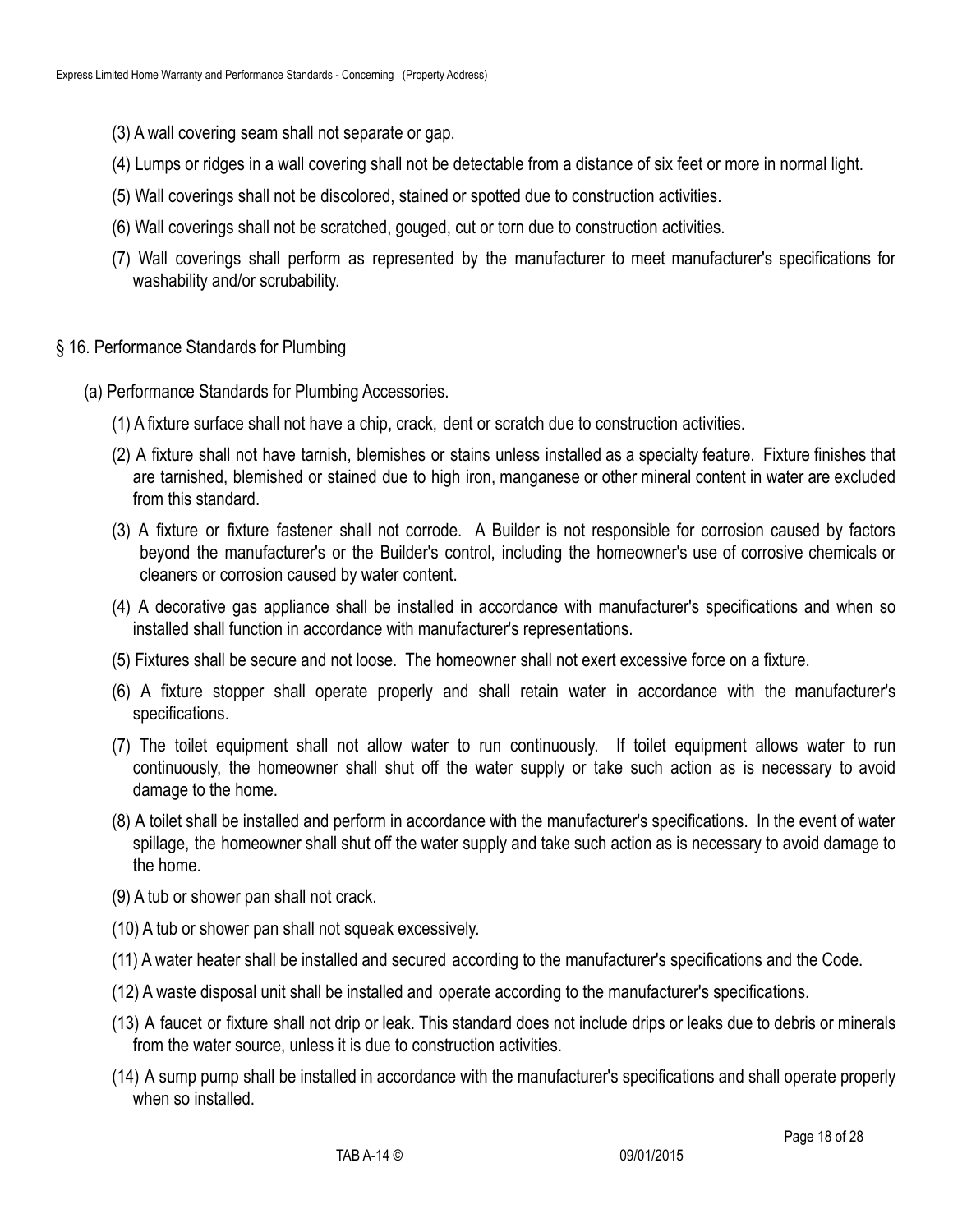- (3) A wall covering seam shall not separate or gap.
- (4) Lumps or ridges in a wall covering shall not be detectable from a distance of six feet or more in normal light.
- (5) Wall coverings shall not be discolored, stained or spotted due to construction activities.
- (6) Wall coverings shall not be scratched, gouged, cut or torn due to construction activities.
- (7) Wall coverings shall perform as represented by the manufacturer to meet manufacturer's specifications for washability and/or scrubability.
- § 16. Performance Standards for Plumbing
	- (a) Performance Standards for Plumbing Accessories.
		- (1) A fixture surface shall not have a chip, crack, dent or scratch due to construction activities.
		- (2) A fixture shall not have tarnish, blemishes or stains unless installed as a specialty feature. Fixture finishes that are tarnished, blemished or stained due to high iron, manganese or other mineral content in water are excluded from this standard.
		- (3) A fixture or fixture fastener shall not corrode. A Builder is not responsible for corrosion caused by factors beyond the manufacturer's or the Builder's control, including the homeowner's use of corrosive chemicals or cleaners or corrosion caused by water content.
		- (4) A decorative gas appliance shall be installed in accordance with manufacturer's specifications and when so installed shall function in accordance with manufacturer's representations.
		- (5) Fixtures shall be secure and not loose. The homeowner shall not exert excessive force on a fixture.
		- (6) A fixture stopper shall operate properly and shall retain water in accordance with the manufacturer's specifications.
		- (7) The toilet equipment shall not allow water to run continuously. If toilet equipment allows water to run continuously, the homeowner shall shut off the water supply or take such action as is necessary to avoid damage to the home.
		- (8) A toilet shall be installed and perform in accordance with the manufacturer's specifications. In the event of water spillage, the homeowner shall shut off the water supply and take such action as is necessary to avoid damage to the home.
		- (9) A tub or shower pan shall not crack.
		- (10) A tub or shower pan shall not squeak excessively.
		- (11) A water heater shall be installed and secured according to the manufacturer's specifications and the Code.
		- (12) A waste disposal unit shall be installed and operate according to the manufacturer's specifications.
		- (13) A faucet or fixture shall not drip or leak. This standard does not include drips or leaks due to debris or minerals from the water source, unless it is due to construction activities.
		- (14) A sump pump shall be installed in accordance with the manufacturer's specifications and shall operate properly when so installed.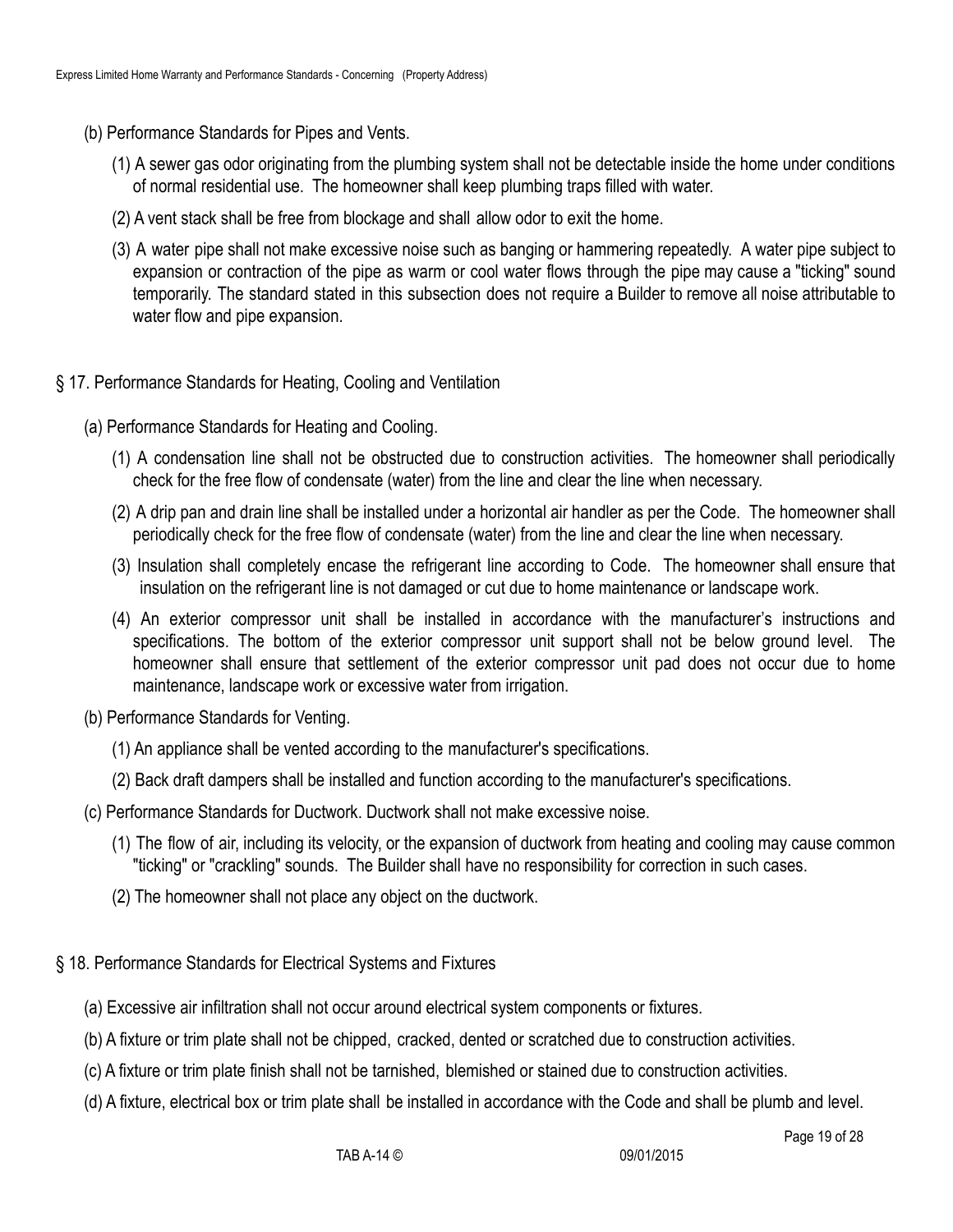- (b) Performance Standards for Pipes and Vents.
	- (1) A sewer gas odor originating from the plumbing system shall not be detectable inside the home under conditions of normal residential use. The homeowner shall keep plumbing traps filled with water.
	- (2) A vent stack shall be free from blockage and shall allow odor to exit the home.
	- (3) A water pipe shall not make excessive noise such as banging or hammering repeatedly. A water pipe subject to expansion or contraction of the pipe as warm or cool water flows through the pipe may cause a "ticking" sound temporarily. The standard stated in this subsection does not require a Builder to remove all noise attributable to water flow and pipe expansion.

#### § 17. Performance Standards for Heating, Cooling and Ventilation

- (a) Performance Standards for Heating and Cooling.
	- (1) A condensation line shall not be obstructed due to construction activities. The homeowner shall periodically check for the free flow of condensate (water) from the line and clear the line when necessary.
	- (2) A drip pan and drain line shall be installed under a horizontal air handler as per the Code. The homeowner shall periodically check for the free flow of condensate (water) from the line and clear the line when necessary.
	- (3) Insulation shall completely encase the refrigerant line according to Code. The homeowner shall ensure that insulation on the refrigerant line is not damaged or cut due to home maintenance or landscape work.
	- (4) An exterior compressor unit shall be installed in accordance with the manufacturer's instructions and specifications. The bottom of the exterior compressor unit support shall not be below ground level. The homeowner shall ensure that settlement of the exterior compressor unit pad does not occur due to home maintenance, landscape work or excessive water from irrigation.
- (b) Performance Standards for Venting.
	- (1) An appliance shall be vented according to the manufacturer's specifications.
	- (2) Back draft dampers shall be installed and function according to the manufacturer's specifications.
- (c) Performance Standards for Ductwork. Ductwork shall not make excessive noise.
	- (1) The flow of air, including its velocity, or the expansion of ductwork from heating and cooling may cause common "ticking" or "crackling" sounds. The Builder shall have no responsibility for correction in such cases.
	- (2) The homeowner shall not place any object on the ductwork.
- § 18. Performance Standards for Electrical Systems and Fixtures
	- (a) Excessive air infiltration shall not occur around electrical system components or fixtures.
	- (b) A fixture or trim plate shall not be chipped, cracked, dented or scratched due to construction activities.
	- (c) A fixture or trim plate finish shall not be tarnished, blemished or stained due to construction activities.
	- (d) A fixture, electrical box or trim plate shall be installed in accordance with the Code and shall be plumb and level.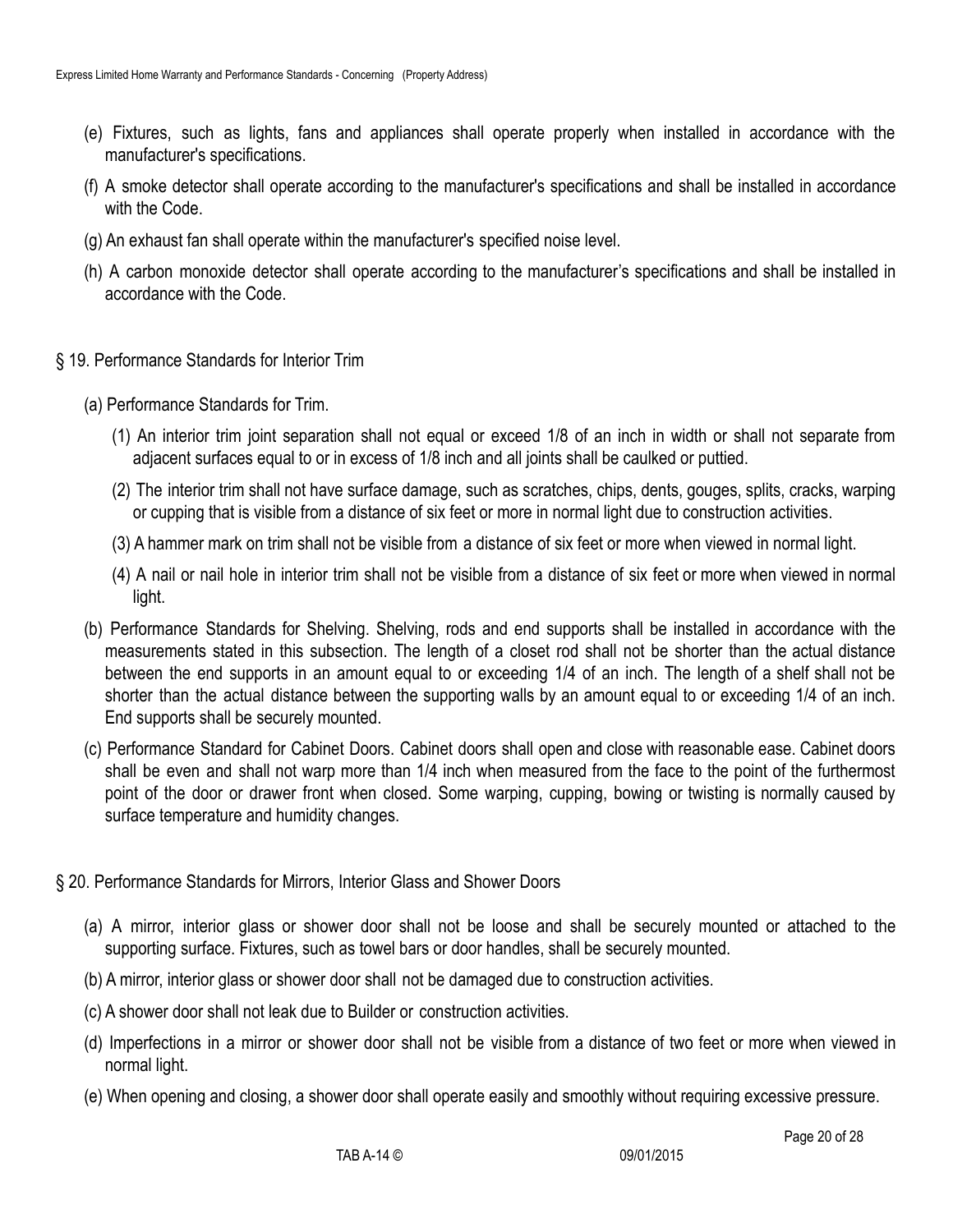- (e) Fixtures, such as lights, fans and appliances shall operate properly when installed in accordance with the manufacturer's specifications.
- (f) A smoke detector shall operate according to the manufacturer's specifications and shall be installed in accordance with the Code.
- (g) An exhaust fan shall operate within the manufacturer's specified noise level.
- (h) A carbon monoxide detector shall operate according to the manufacturer's specifications and shall be installed in accordance with the Code.
- § 19. Performance Standards for Interior Trim
	- (a) Performance Standards for Trim.
		- (1) An interior trim joint separation shall not equal or exceed 1/8 of an inch in width or shall not separate from adjacent surfaces equal to or in excess of 1/8 inch and all joints shall be caulked or puttied.
		- (2) The interior trim shall not have surface damage, such as scratches, chips, dents, gouges, splits, cracks, warping or cupping that is visible from a distance of six feet or more in normal light due to construction activities.
		- (3) A hammer mark on trim shall not be visible from a distance of six feet or more when viewed in normal light.
		- (4) A nail or nail hole in interior trim shall not be visible from a distance of six feet or more when viewed in normal light.
	- (b) Performance Standards for Shelving. Shelving, rods and end supports shall be installed in accordance with the measurements stated in this subsection. The length of a closet rod shall not be shorter than the actual distance between the end supports in an amount equal to or exceeding 1/4 of an inch. The length of a shelf shall not be shorter than the actual distance between the supporting walls by an amount equal to or exceeding 1/4 of an inch. End supports shall be securely mounted.
	- (c) Performance Standard for Cabinet Doors. Cabinet doors shall open and close with reasonable ease. Cabinet doors shall be even and shall not warp more than 1/4 inch when measured from the face to the point of the furthermost point of the door or drawer front when closed. Some warping, cupping, bowing or twisting is normally caused by surface temperature and humidity changes.
- § 20. Performance Standards for Mirrors, Interior Glass and Shower Doors
	- (a) A mirror, interior glass or shower door shall not be loose and shall be securely mounted or attached to the supporting surface. Fixtures, such as towel bars or door handles, shall be securely mounted.
	- (b) A mirror, interior glass or shower door shall not be damaged due to construction activities.
	- (c) A shower door shall not leak due to Builder or construction activities.
	- (d) Imperfections in a mirror or shower door shall not be visible from a distance of two feet or more when viewed in normal light.
	- (e) When opening and closing, a shower door shall operate easily and smoothly without requiring excessive pressure.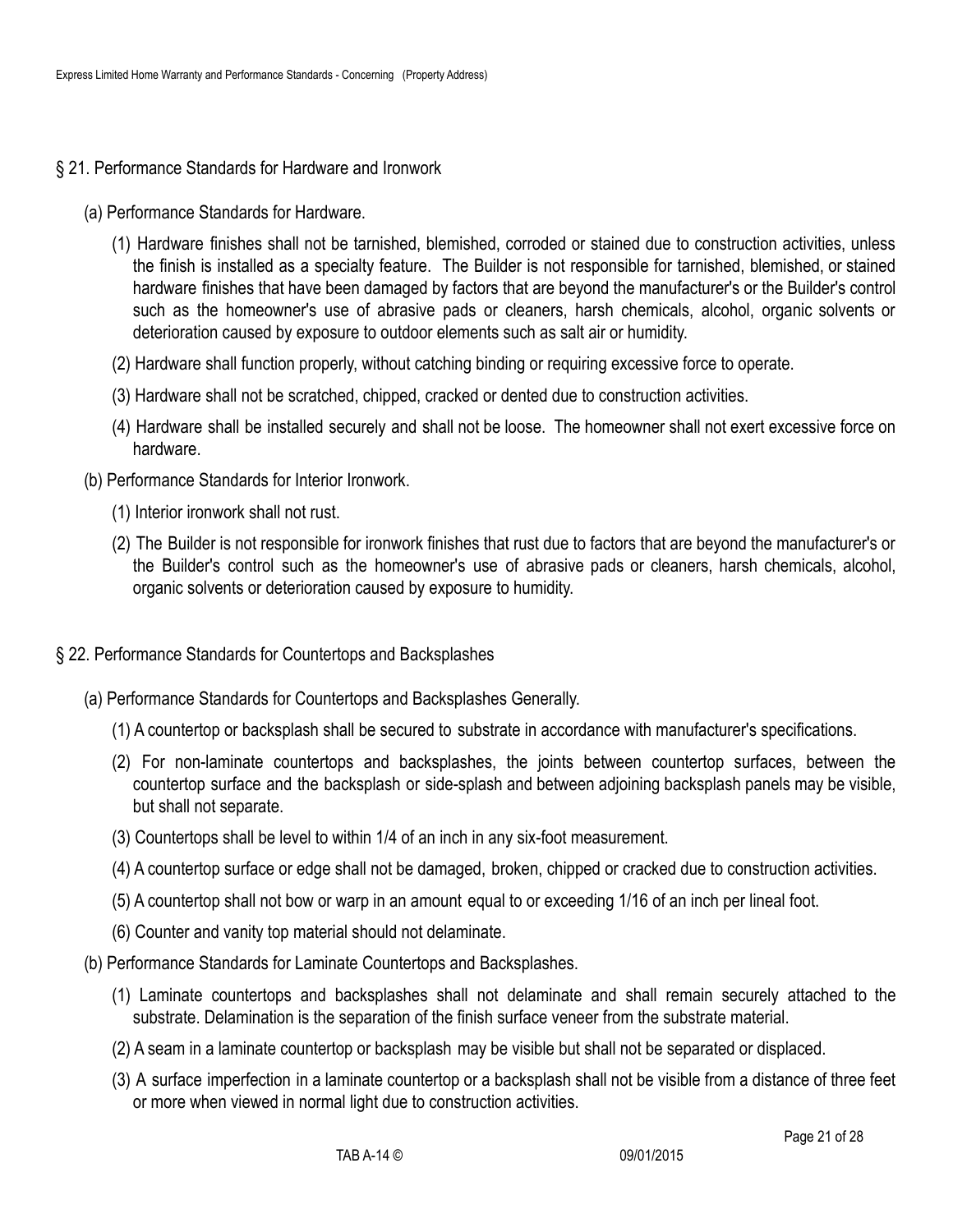- § 21. Performance Standards for Hardware and Ironwork
	- (a) Performance Standards for Hardware.
		- (1) Hardware finishes shall not be tarnished, blemished, corroded or stained due to construction activities, unless the finish is installed as a specialty feature. The Builder is not responsible for tarnished, blemished, or stained hardware finishes that have been damaged by factors that are beyond the manufacturer's or the Builder's control such as the homeowner's use of abrasive pads or cleaners, harsh chemicals, alcohol, organic solvents or deterioration caused by exposure to outdoor elements such as salt air or humidity.
		- (2) Hardware shall function properly, without catching binding or requiring excessive force to operate.
		- (3) Hardware shall not be scratched, chipped, cracked or dented due to construction activities.
		- (4) Hardware shall be installed securely and shall not be loose. The homeowner shall not exert excessive force on hardware.
	- (b) Performance Standards for Interior Ironwork.
		- (1) Interior ironwork shall not rust.
		- (2) The Builder is not responsible for ironwork finishes that rust due to factors that are beyond the manufacturer's or the Builder's control such as the homeowner's use of abrasive pads or cleaners, harsh chemicals, alcohol, organic solvents or deterioration caused by exposure to humidity.
- § 22. Performance Standards for Countertops and Backsplashes
	- (a) Performance Standards for Countertops and Backsplashes Generally.
		- (1) A countertop or backsplash shall be secured to substrate in accordance with manufacturer's specifications.
		- (2) For non-laminate countertops and backsplashes, the joints between countertop surfaces, between the countertop surface and the backsplash or side-splash and between adjoining backsplash panels may be visible, but shall not separate.
		- (3) Countertops shall be level to within 1/4 of an inch in any six-foot measurement.
		- (4) A countertop surface or edge shall not be damaged, broken, chipped or cracked due to construction activities.
		- (5) A countertop shall not bow or warp in an amount equal to or exceeding 1/16 of an inch per lineal foot.
		- (6) Counter and vanity top material should not delaminate.
	- (b) Performance Standards for Laminate Countertops and Backsplashes.
		- (1) Laminate countertops and backsplashes shall not delaminate and shall remain securely attached to the substrate. Delamination is the separation of the finish surface veneer from the substrate material.
		- (2) A seam in a laminate countertop or backsplash may be visible but shall not be separated or displaced.
		- (3) A surface imperfection in a laminate countertop or a backsplash shall not be visible from a distance of three feet or more when viewed in normal light due to construction activities.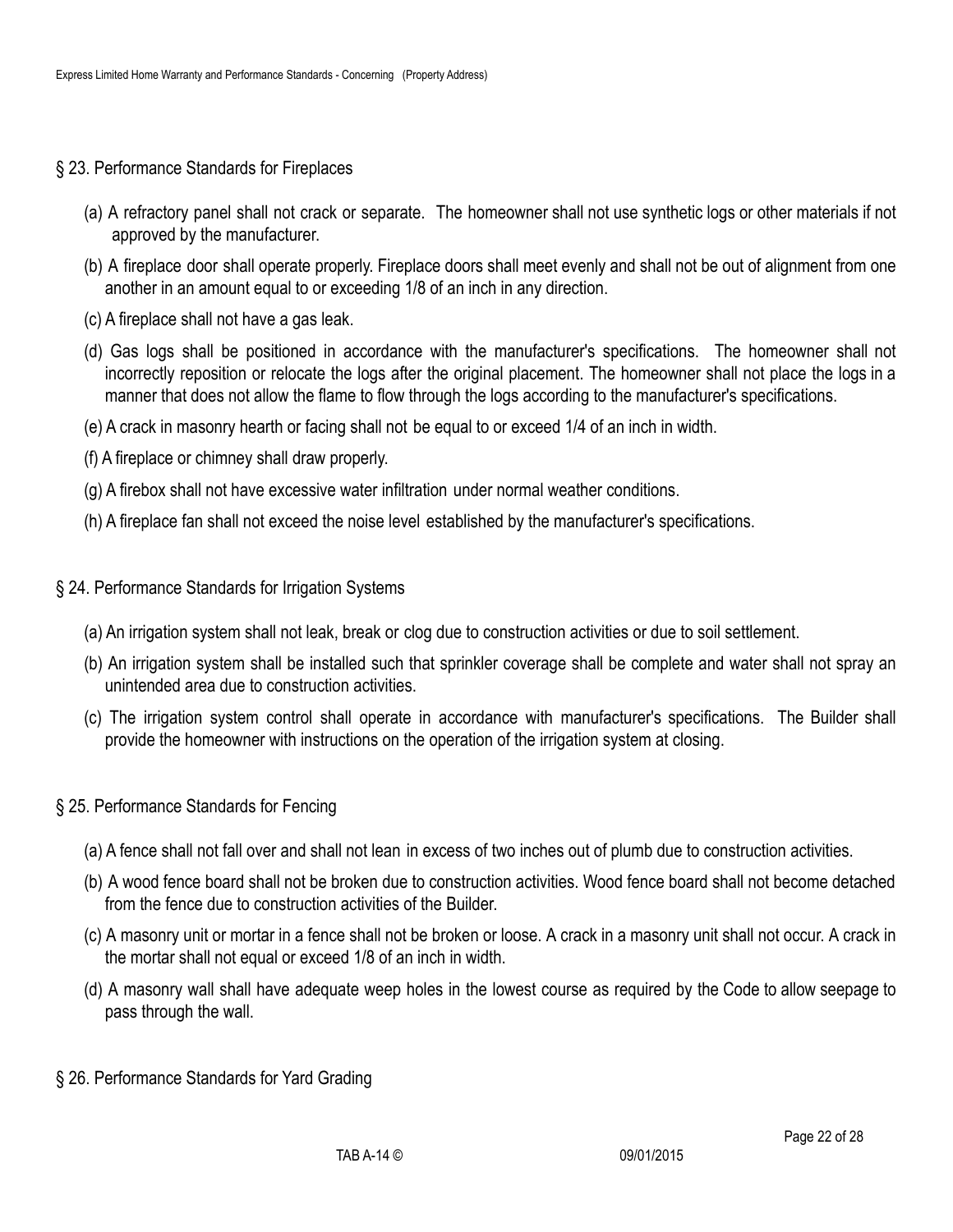- § 23. Performance Standards for Fireplaces
	- (a) A refractory panel shall not crack or separate. The homeowner shall not use synthetic logs or other materials if not approved by the manufacturer.
	- (b) A fireplace door shall operate properly. Fireplace doors shall meet evenly and shall not be out of alignment from one another in an amount equal to or exceeding 1/8 of an inch in any direction.
	- (c) A fireplace shall not have a gas leak.
	- (d) Gas logs shall be positioned in accordance with the manufacturer's specifications. The homeowner shall not incorrectly reposition or relocate the logs after the original placement. The homeowner shall not place the logs in a manner that does not allow the flame to flow through the logs according to the manufacturer's specifications.
	- (e) A crack in masonry hearth or facing shall not be equal to or exceed 1/4 of an inch in width.
	- (f) A fireplace or chimney shall draw properly.
	- (g) A firebox shall not have excessive water infiltration under normal weather conditions.
	- (h) A fireplace fan shall not exceed the noise level established by the manufacturer's specifications.
- § 24. Performance Standards for Irrigation Systems
	- (a) An irrigation system shall not leak, break or clog due to construction activities or due to soil settlement.
	- (b) An irrigation system shall be installed such that sprinkler coverage shall be complete and water shall not spray an unintended area due to construction activities.
	- (c) The irrigation system control shall operate in accordance with manufacturer's specifications. The Builder shall provide the homeowner with instructions on the operation of the irrigation system at closing.
- § 25. Performance Standards for Fencing
	- (a) A fence shall not fall over and shall not lean in excess of two inches out of plumb due to construction activities.
	- (b) A wood fence board shall not be broken due to construction activities. Wood fence board shall not become detached from the fence due to construction activities of the Builder.
	- (c) A masonry unit or mortar in a fence shall not be broken or loose. A crack in a masonry unit shall not occur. A crack in the mortar shall not equal or exceed 1/8 of an inch in width.
	- (d) A masonry wall shall have adequate weep holes in the lowest course as required by the Code to allow seepage to pass through the wall.
- § 26. Performance Standards for Yard Grading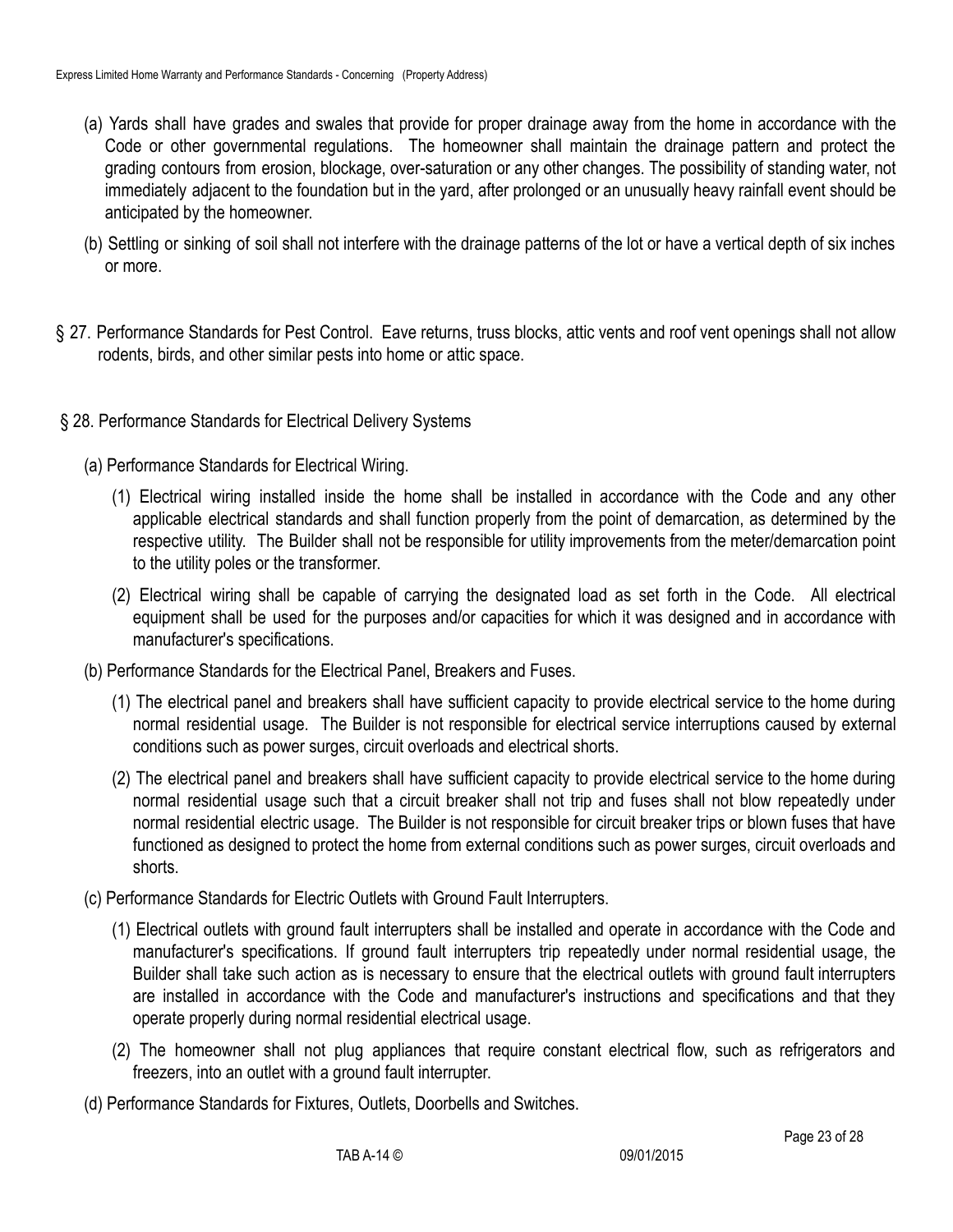- (a) Yards shall have grades and swales that provide for proper drainage away from the home in accordance with the Code or other governmental regulations. The homeowner shall maintain the drainage pattern and protect the grading contours from erosion, blockage, over-saturation or any other changes. The possibility of standing water, not immediately adjacent to the foundation but in the yard, after prolonged or an unusually heavy rainfall event should be anticipated by the homeowner.
- (b) Settling or sinking of soil shall not interfere with the drainage patterns of the lot or have a vertical depth of six inches or more.
- § 27. Performance Standards for Pest Control. Eave returns, truss blocks, attic vents and roof vent openings shall not allow rodents, birds, and other similar pests into home or attic space.
- § 28. Performance Standards for Electrical Delivery Systems
	- (a) Performance Standards for Electrical Wiring.
		- (1) Electrical wiring installed inside the home shall be installed in accordance with the Code and any other applicable electrical standards and shall function properly from the point of demarcation, as determined by the respective utility. The Builder shall not be responsible for utility improvements from the meter/demarcation point to the utility poles or the transformer.
		- (2) Electrical wiring shall be capable of carrying the designated load as set forth in the Code. All electrical equipment shall be used for the purposes and/or capacities for which it was designed and in accordance with manufacturer's specifications.
	- (b) Performance Standards for the Electrical Panel, Breakers and Fuses.
		- (1) The electrical panel and breakers shall have sufficient capacity to provide electrical service to the home during normal residential usage. The Builder is not responsible for electrical service interruptions caused by external conditions such as power surges, circuit overloads and electrical shorts.
		- (2) The electrical panel and breakers shall have sufficient capacity to provide electrical service to the home during normal residential usage such that a circuit breaker shall not trip and fuses shall not blow repeatedly under normal residential electric usage. The Builder is not responsible for circuit breaker trips or blown fuses that have functioned as designed to protect the home from external conditions such as power surges, circuit overloads and shorts.
	- (c) Performance Standards for Electric Outlets with Ground Fault Interrupters.
		- (1) Electrical outlets with ground fault interrupters shall be installed and operate in accordance with the Code and manufacturer's specifications. If ground fault interrupters trip repeatedly under normal residential usage, the Builder shall take such action as is necessary to ensure that the electrical outlets with ground fault interrupters are installed in accordance with the Code and manufacturer's instructions and specifications and that they operate properly during normal residential electrical usage.
		- (2) The homeowner shall not plug appliances that require constant electrical flow, such as refrigerators and freezers, into an outlet with a ground fault interrupter.
	- (d) Performance Standards for Fixtures, Outlets, Doorbells and Switches.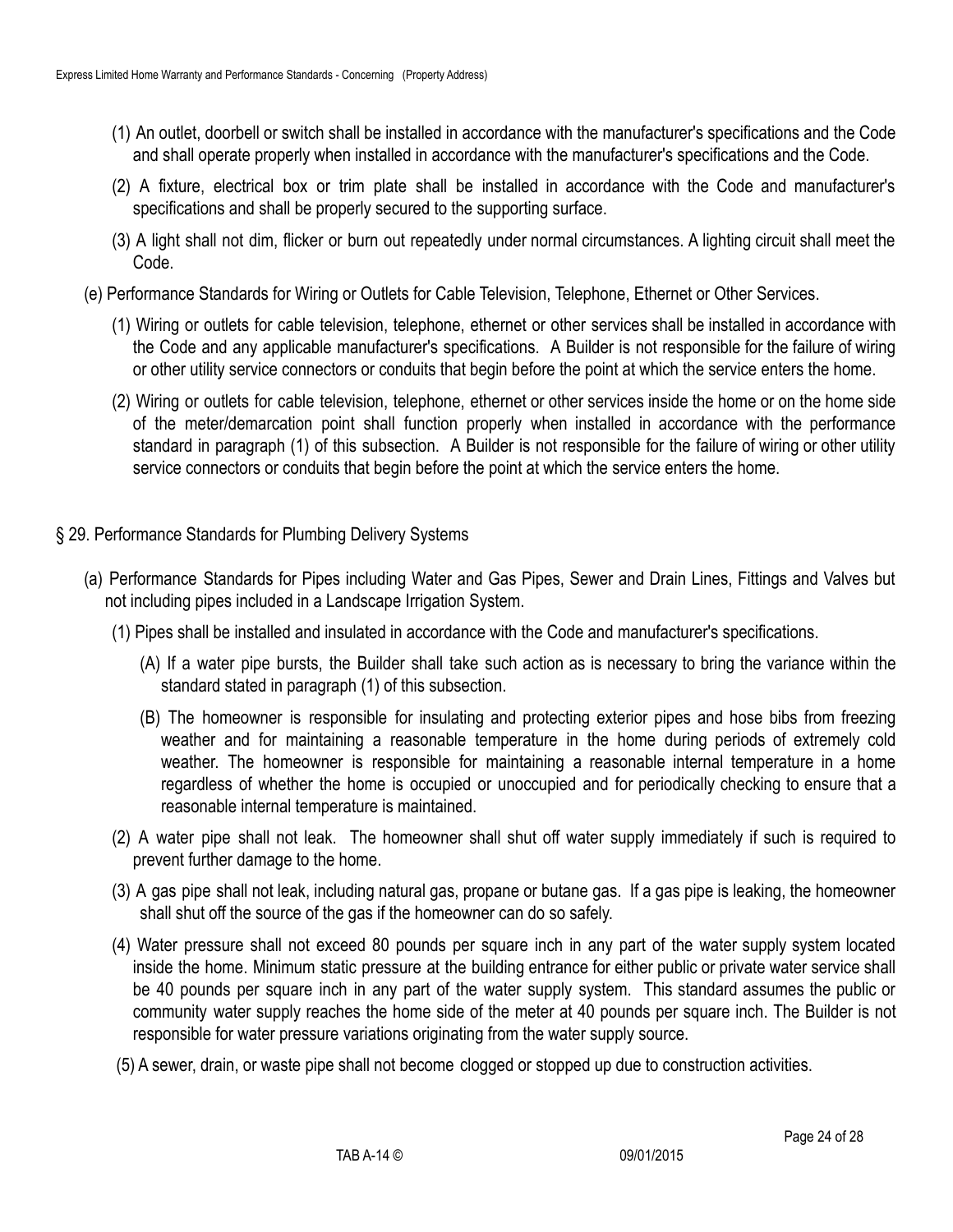- (1) An outlet, doorbell or switch shall be installed in accordance with the manufacturer's specifications and the Code and shall operate properly when installed in accordance with the manufacturer's specifications and the Code.
- (2) A fixture, electrical box or trim plate shall be installed in accordance with the Code and manufacturer's specifications and shall be properly secured to the supporting surface.
- (3) A light shall not dim, flicker or burn out repeatedly under normal circumstances. A lighting circuit shall meet the Code.
- (e) Performance Standards for Wiring or Outlets for Cable Television, Telephone, Ethernet or Other Services.
	- (1) Wiring or outlets for cable television, telephone, ethernet or other services shall be installed in accordance with the Code and any applicable manufacturer's specifications. A Builder is not responsible for the failure of wiring or other utility service connectors or conduits that begin before the point at which the service enters the home.
	- (2) Wiring or outlets for cable television, telephone, ethernet or other services inside the home or on the home side of the meter/demarcation point shall function properly when installed in accordance with the performance standard in paragraph (1) of this subsection. A Builder is not responsible for the failure of wiring or other utility service connectors or conduits that begin before the point at which the service enters the home.
- § 29. Performance Standards for Plumbing Delivery Systems
	- (a) Performance Standards for Pipes including Water and Gas Pipes, Sewer and Drain Lines, Fittings and Valves but not including pipes included in a Landscape Irrigation System.
		- (1) Pipes shall be installed and insulated in accordance with the Code and manufacturer's specifications.
			- (A) If a water pipe bursts, the Builder shall take such action as is necessary to bring the variance within the standard stated in paragraph (1) of this subsection.
			- (B) The homeowner is responsible for insulating and protecting exterior pipes and hose bibs from freezing weather and for maintaining a reasonable temperature in the home during periods of extremely cold weather. The homeowner is responsible for maintaining a reasonable internal temperature in a home regardless of whether the home is occupied or unoccupied and for periodically checking to ensure that a reasonable internal temperature is maintained.
		- (2) A water pipe shall not leak. The homeowner shall shut off water supply immediately if such is required to prevent further damage to the home.
		- (3) A gas pipe shall not leak, including natural gas, propane or butane gas. If a gas pipe is leaking, the homeowner shall shut off the source of the gas if the homeowner can do so safely.
		- (4) Water pressure shall not exceed 80 pounds per square inch in any part of the water supply system located inside the home. Minimum static pressure at the building entrance for either public or private water service shall be 40 pounds per square inch in any part of the water supply system. This standard assumes the public or community water supply reaches the home side of the meter at 40 pounds per square inch. The Builder is not responsible for water pressure variations originating from the water supply source.
		- (5) A sewer, drain, or waste pipe shall not become clogged or stopped up due to construction activities.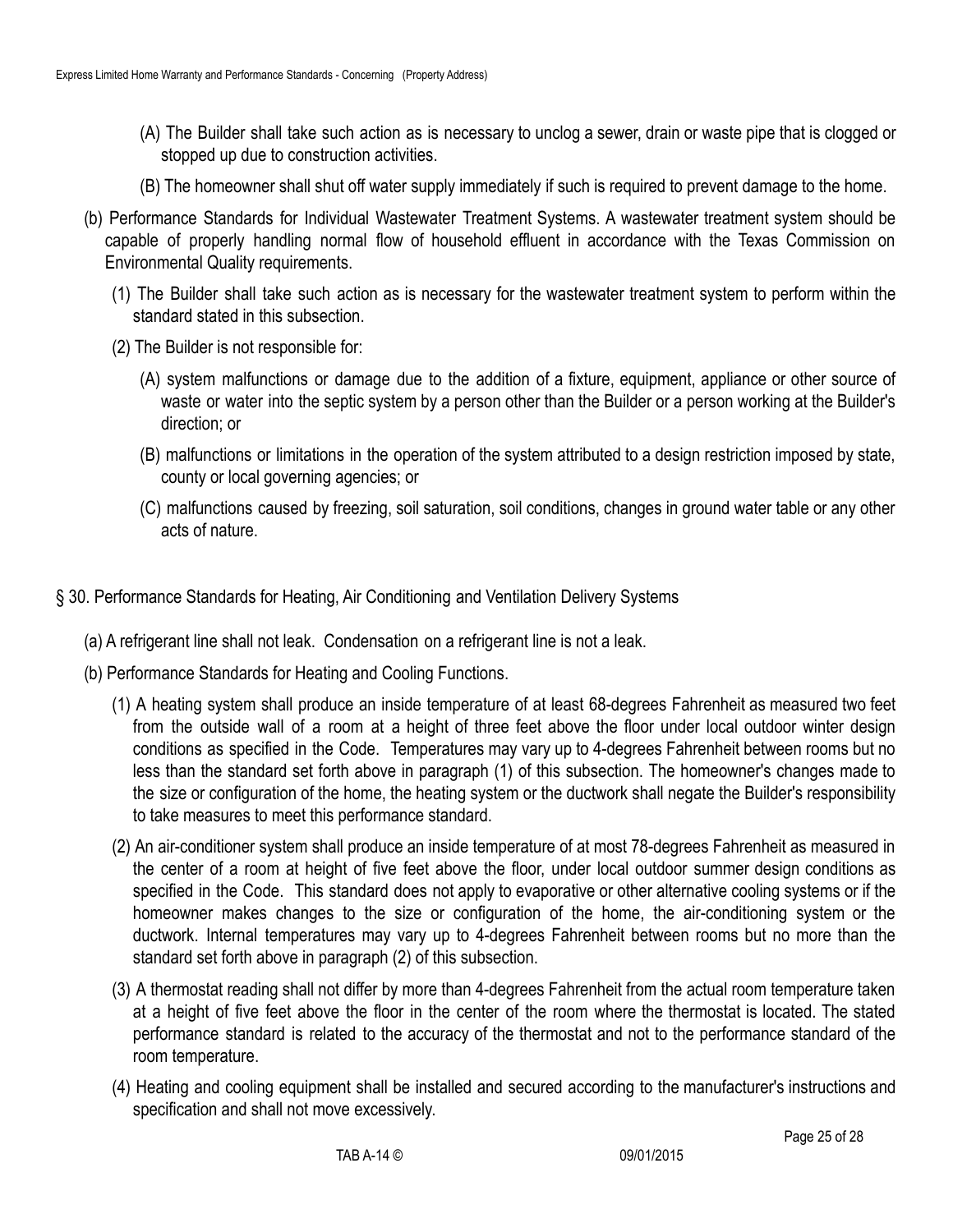- (A) The Builder shall take such action as is necessary to unclog a sewer, drain or waste pipe that is clogged or stopped up due to construction activities.
- (B) The homeowner shall shut off water supply immediately if such is required to prevent damage to the home.
- (b) Performance Standards for Individual Wastewater Treatment Systems. A wastewater treatment system should be capable of properly handling normal flow of household effluent in accordance with the Texas Commission on Environmental Quality requirements.
	- (1) The Builder shall take such action as is necessary for the wastewater treatment system to perform within the standard stated in this subsection.
	- (2) The Builder is not responsible for:
		- (A) system malfunctions or damage due to the addition of a fixture, equipment, appliance or other source of waste or water into the septic system by a person other than the Builder or a person working at the Builder's direction; or
		- (B) malfunctions or limitations in the operation of the system attributed to a design restriction imposed by state, county or local governing agencies; or
		- (C) malfunctions caused by freezing, soil saturation, soil conditions, changes in ground water table or any other acts of nature.
- § 30. Performance Standards for Heating, Air Conditioning and Ventilation Delivery Systems
	- (a) A refrigerant line shall not leak. Condensation on a refrigerant line is not a leak.
	- (b) Performance Standards for Heating and Cooling Functions.
		- (1) A heating system shall produce an inside temperature of at least 68-degrees Fahrenheit as measured two feet from the outside wall of a room at a height of three feet above the floor under local outdoor winter design conditions as specified in the Code. Temperatures may vary up to 4-degrees Fahrenheit between rooms but no less than the standard set forth above in paragraph (1) of this subsection. The homeowner's changes made to the size or configuration of the home, the heating system or the ductwork shall negate the Builder's responsibility to take measures to meet this performance standard.
		- (2) An air-conditioner system shall produce an inside temperature of at most 78-degrees Fahrenheit as measured in the center of a room at height of five feet above the floor, under local outdoor summer design conditions as specified in the Code. This standard does not apply to evaporative or other alternative cooling systems or if the homeowner makes changes to the size or configuration of the home, the air-conditioning system or the ductwork. Internal temperatures may vary up to 4-degrees Fahrenheit between rooms but no more than the standard set forth above in paragraph (2) of this subsection.
		- (3) A thermostat reading shall not differ by more than 4-degrees Fahrenheit from the actual room temperature taken at a height of five feet above the floor in the center of the room where the thermostat is located. The stated performance standard is related to the accuracy of the thermostat and not to the performance standard of the room temperature.
		- (4) Heating and cooling equipment shall be installed and secured according to the manufacturer's instructions and specification and shall not move excessively.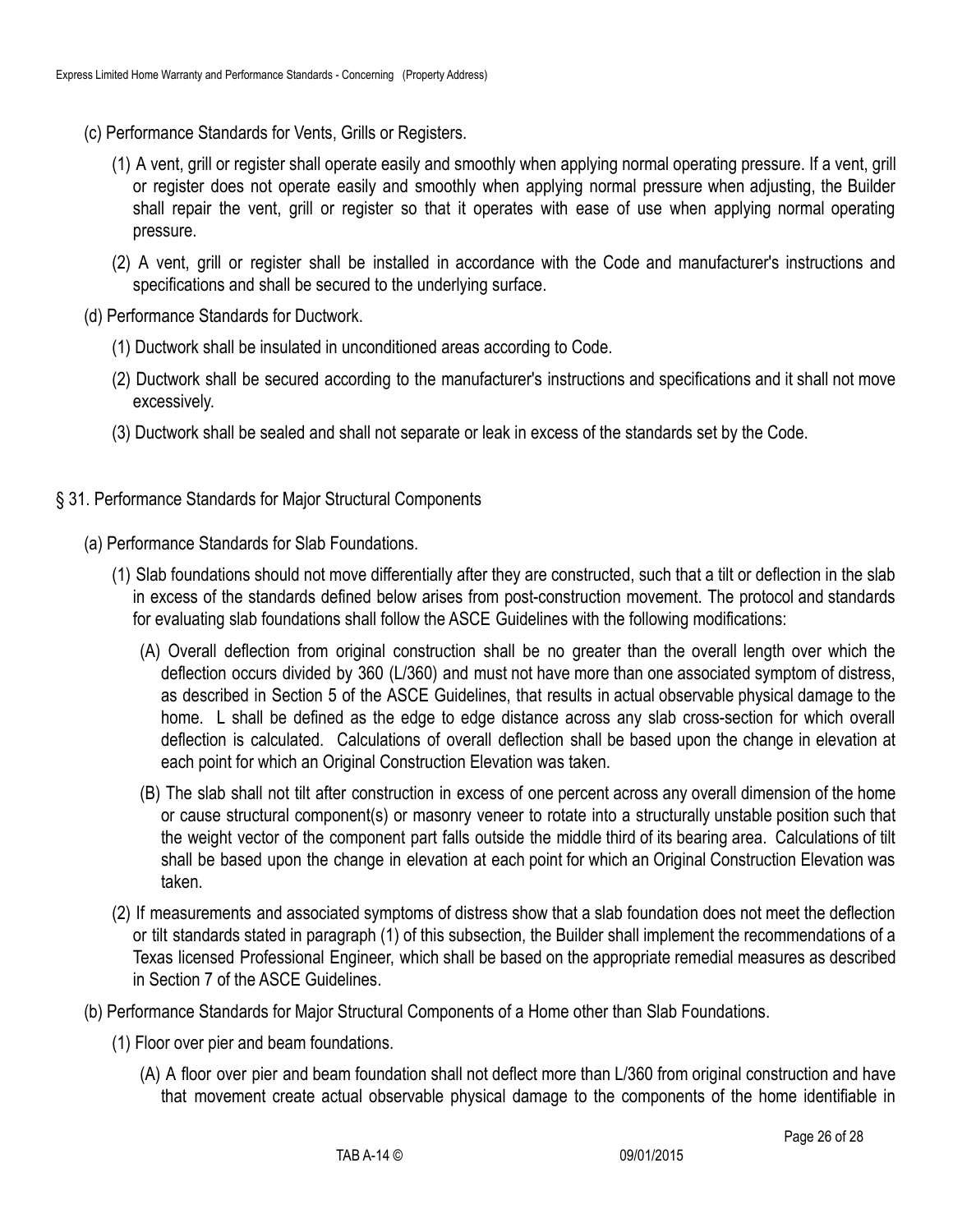- (c) Performance Standards for Vents, Grills or Registers.
	- (1) A vent, grill or register shall operate easily and smoothly when applying normal operating pressure. If a vent, grill or register does not operate easily and smoothly when applying normal pressure when adjusting, the Builder shall repair the vent, grill or register so that it operates with ease of use when applying normal operating pressure.
	- (2) A vent, grill or register shall be installed in accordance with the Code and manufacturer's instructions and specifications and shall be secured to the underlying surface.
- (d) Performance Standards for Ductwork.
	- (1) Ductwork shall be insulated in unconditioned areas according to Code.
	- (2) Ductwork shall be secured according to the manufacturer's instructions and specifications and it shall not move excessively.
	- (3) Ductwork shall be sealed and shall not separate or leak in excess of the standards set by the Code.
- § 31. Performance Standards for Major Structural Components
	- (a) Performance Standards for Slab Foundations.
		- (1) Slab foundations should not move differentially after they are constructed, such that a tilt or deflection in the slab in excess of the standards defined below arises from post-construction movement. The protocol and standards for evaluating slab foundations shall follow the ASCE Guidelines with the following modifications:
			- (A) Overall deflection from original construction shall be no greater than the overall length over which the deflection occurs divided by 360 (L/360) and must not have more than one associated symptom of distress, as described in Section 5 of the ASCE Guidelines, that results in actual observable physical damage to the home. L shall be defined as the edge to edge distance across any slab cross-section for which overall deflection is calculated. Calculations of overall deflection shall be based upon the change in elevation at each point for which an Original Construction Elevation was taken.
			- (B) The slab shall not tilt after construction in excess of one percent across any overall dimension of the home or cause structural component(s) or masonry veneer to rotate into a structurally unstable position such that the weight vector of the component part falls outside the middle third of its bearing area. Calculations of tilt shall be based upon the change in elevation at each point for which an Original Construction Elevation was taken.
		- (2) If measurements and associated symptoms of distress show that a slab foundation does not meet the deflection or tilt standards stated in paragraph (1) of this subsection, the Builder shall implement the recommendations of a Texas licensed Professional Engineer, which shall be based on the appropriate remedial measures as described in Section 7 of the ASCE Guidelines.
	- (b) Performance Standards for Major Structural Components of a Home other than Slab Foundations.
		- (1) Floor over pier and beam foundations.
			- (A) A floor over pier and beam foundation shall not deflect more than L/360 from original construction and have that movement create actual observable physical damage to the components of the home identifiable in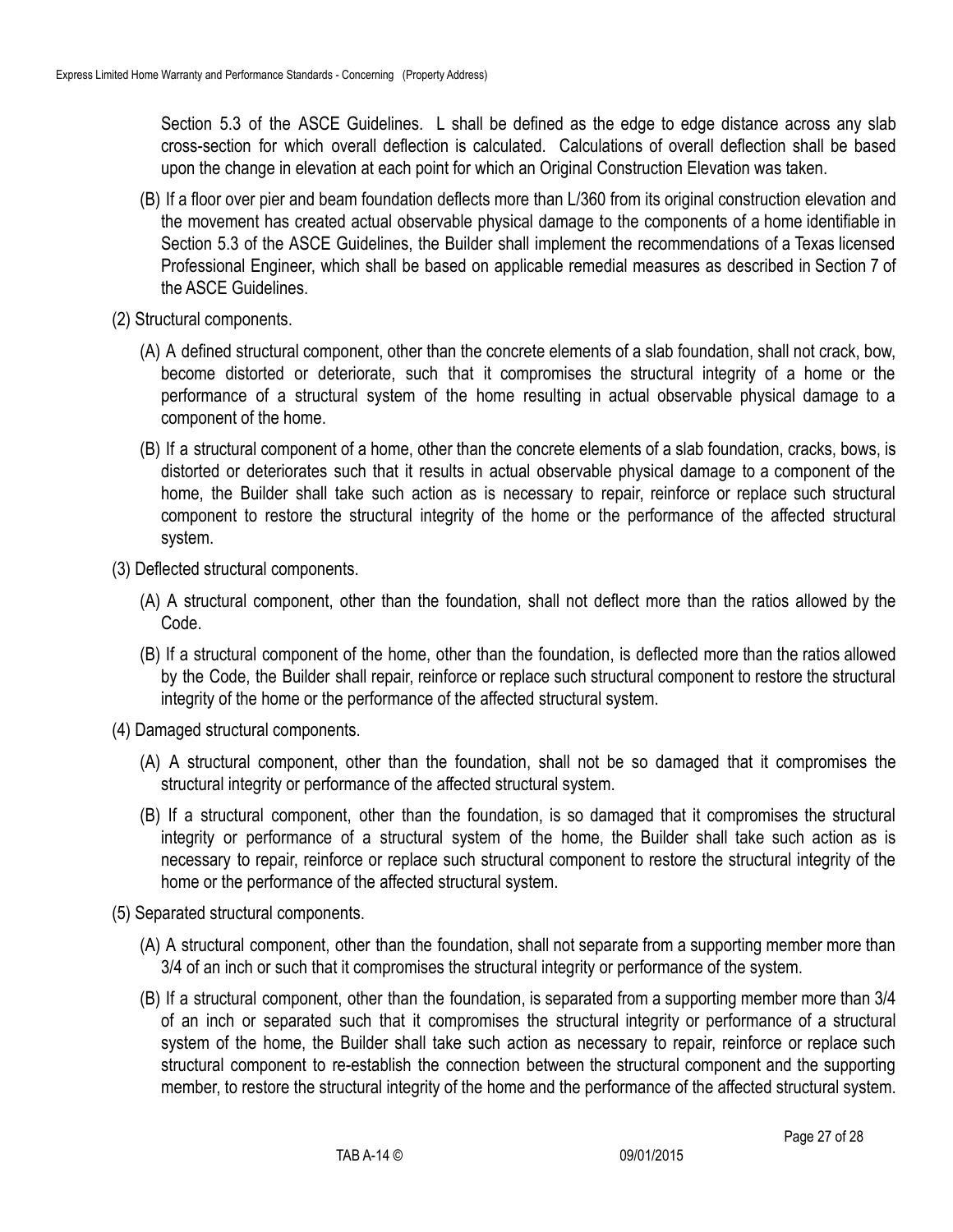Section 5.3 of the ASCE Guidelines. L shall be defined as the edge to edge distance across any slab cross-section for which overall deflection is calculated. Calculations of overall deflection shall be based upon the change in elevation at each point for which an Original Construction Elevation was taken.

- (B) If a floor over pier and beam foundation deflects more than L/360 from its original construction elevation and the movement has created actual observable physical damage to the components of a home identifiable in Section 5.3 of the ASCE Guidelines, the Builder shall implement the recommendations of a Texas licensed Professional Engineer, which shall be based on applicable remedial measures as described in Section 7 of the ASCE Guidelines.
- (2) Structural components.
	- (A) A defined structural component, other than the concrete elements of a slab foundation, shall not crack, bow, become distorted or deteriorate, such that it compromises the structural integrity of a home or the performance of a structural system of the home resulting in actual observable physical damage to a component of the home.
	- (B) If a structural component of a home, other than the concrete elements of a slab foundation, cracks, bows, is distorted or deteriorates such that it results in actual observable physical damage to a component of the home, the Builder shall take such action as is necessary to repair, reinforce or replace such structural component to restore the structural integrity of the home or the performance of the affected structural system.
- (3) Deflected structural components.
	- (A) A structural component, other than the foundation, shall not deflect more than the ratios allowed by the Code.
	- (B) If a structural component of the home, other than the foundation, is deflected more than the ratios allowed by the Code, the Builder shall repair, reinforce or replace such structural component to restore the structural integrity of the home or the performance of the affected structural system.
- (4) Damaged structural components.
	- (A) A structural component, other than the foundation, shall not be so damaged that it compromises the structural integrity or performance of the affected structural system.
	- (B) If a structural component, other than the foundation, is so damaged that it compromises the structural integrity or performance of a structural system of the home, the Builder shall take such action as is necessary to repair, reinforce or replace such structural component to restore the structural integrity of the home or the performance of the affected structural system.
- (5) Separated structural components.
	- (A) A structural component, other than the foundation, shall not separate from a supporting member more than 3/4 of an inch or such that it compromises the structural integrity or performance of the system.
	- (B) If a structural component, other than the foundation, is separated from a supporting member more than 3/4 of an inch or separated such that it compromises the structural integrity or performance of a structural system of the home, the Builder shall take such action as necessary to repair, reinforce or replace such structural component to re-establish the connection between the structural component and the supporting member, to restore the structural integrity of the home and the performance of the affected structural system.